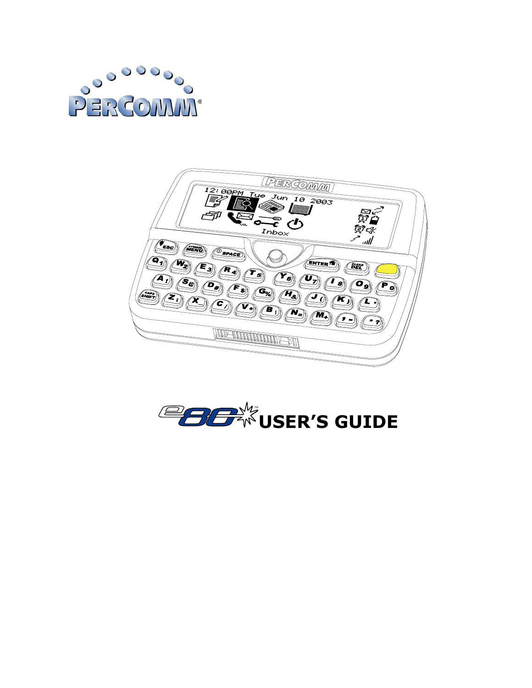



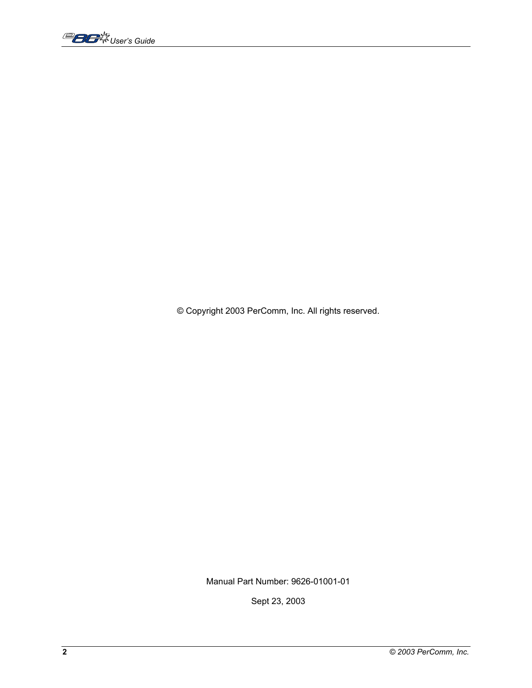,<br>*User's Guide* 

© Copyright 2003 PerComm, Inc. All rights reserved.

Manual Part Number: 9626-01001-01

Sept 23, 2003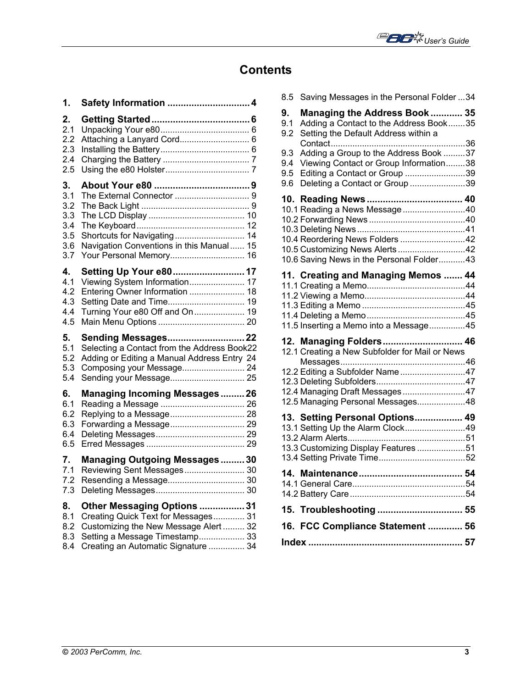

## **Contents**

| 1.  |                                             |
|-----|---------------------------------------------|
| 2.  |                                             |
| 2.1 |                                             |
| 2.2 |                                             |
| 2.3 |                                             |
| 2.4 |                                             |
| 2.5 |                                             |
| 3.  |                                             |
| 3.1 |                                             |
| 3.2 |                                             |
| 3.3 |                                             |
| 3.4 |                                             |
| 3.5 | Shortcuts for Navigating 14                 |
| 3.6 | Navigation Conventions in this Manual 15    |
| 3.7 | Your Personal Memory 16                     |
| 4.  | Setting Up Your e80 17                      |
| 4.1 | Viewing System Information 17               |
| 4.2 | Entering Owner Information  18              |
| 4.3 | Setting Date and Time 19                    |
| 4.4 | Turning Your e80 Off and On 19              |
| 4.5 |                                             |
| 5.  | Sending Messages 22                         |
| 5.1 | Selecting a Contact from the Address Book22 |
| 5.2 | Adding or Editing a Manual Address Entry 24 |
| 5.3 | Composing your Message 24                   |
| 5.4 |                                             |
| 6.  | <b>Managing Incoming Messages26</b>         |
| 6.1 |                                             |
| 6.2 |                                             |
| 6.3 |                                             |
| 6.4 |                                             |
| 6.5 |                                             |
| 7.  | <b>Managing Outgoing Messages30</b>         |
| 7.1 | Reviewing Sent Messages 30                  |
| 7.2 |                                             |
| 7.3 |                                             |
| 8.  | Other Messaging Options  31                 |
| 8.1 | Creating Quick Text for Messages 31         |
| 8.2 | Customizing the New Message Alert  32       |
| 8.3 | Setting a Message Timestamp 33              |
| 8.4 | Creating an Automatic Signature  34         |

| 8.5                      | Saving Messages in the Personal Folder 34                                                                                                                                           |  |
|--------------------------|-------------------------------------------------------------------------------------------------------------------------------------------------------------------------------------|--|
| 9.<br>9.1<br>9.2         | Managing the Address Book  35<br>Adding a Contact to the Address Book35<br>Setting the Default Address within a                                                                     |  |
| 9.3<br>9.4<br>9.5<br>9.6 | Adding a Group to the Address Book 37<br>Viewing Contact or Group Information38<br>Editing a Contact or Group 39<br>Deleting a Contact or Group 39                                  |  |
|                          | 10.1 Reading a News Message40<br>10.4 Reordering News Folders 42<br>10.5 Customizing News Alerts42<br>10.6 Saving News in the Personal Folder43                                     |  |
|                          | 11. Creating and Managing Memos  44<br>11.5 Inserting a Memo into a Message45                                                                                                       |  |
|                          | 12. Managing Folders 46<br>12.1 Creating a New Subfolder for Mail or News<br>12.2 Editing a Subfolder Name47<br>12.4 Managing Draft Messages47<br>12.5 Managing Personal Messages48 |  |
|                          | 13. Setting Personal Options 49<br>13.1 Setting Up the Alarm Clock49<br>13.3 Customizing Display Features 51                                                                        |  |
|                          |                                                                                                                                                                                     |  |
|                          | 15. Troubleshooting  55                                                                                                                                                             |  |
|                          | 16. FCC Compliance Statement  56                                                                                                                                                    |  |
|                          |                                                                                                                                                                                     |  |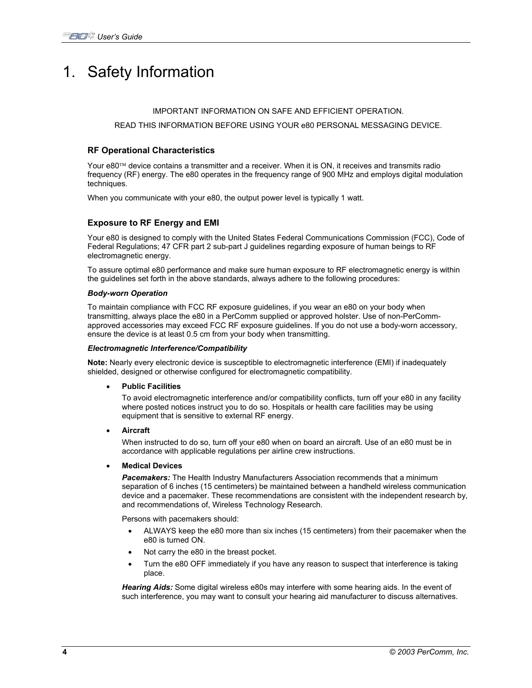# 1. Safety Information

#### IMPORTANT INFORMATION ON SAFE AND EFFICIENT OPERATION.

#### READ THIS INFORMATION BEFORE USING YOUR e80 PERSONAL MESSAGING DEVICE.

### **RF Operational Characteristics**

Your  $e80<sup>TM</sup>$  device contains a transmitter and a receiver. When it is ON, it receives and transmits radio frequency (RF) energy. The e80 operates in the frequency range of 900 MHz and employs digital modulation techniques.

When you communicate with your e80, the output power level is typically 1 watt.

### **Exposure to RF Energy and EMI**

Your e80 is designed to comply with the United States Federal Communications Commission (FCC), Code of Federal Regulations; 47 CFR part 2 sub-part J guidelines regarding exposure of human beings to RF electromagnetic energy.

To assure optimal e80 performance and make sure human exposure to RF electromagnetic energy is within the guidelines set forth in the above standards, always adhere to the following procedures:

#### *Body-worn Operation*

To maintain compliance with FCC RF exposure guidelines, if you wear an e80 on your body when transmitting, always place the e80 in a PerComm supplied or approved holster. Use of non-PerCommapproved accessories may exceed FCC RF exposure guidelines. If you do not use a body-worn accessory, ensure the device is at least 0.5 cm from your body when transmitting.

#### *Electromagnetic Interference/Compatibility*

**Note:** Nearly every electronic device is susceptible to electromagnetic interference (EMI) if inadequately shielded, designed or otherwise configured for electromagnetic compatibility.

• **Public Facilities** 

To avoid electromagnetic interference and/or compatibility conflicts, turn off your e80 in any facility where posted notices instruct you to do so. Hospitals or health care facilities may be using equipment that is sensitive to external RF energy.

• **Aircraft** 

When instructed to do so, turn off your e80 when on board an aircraft. Use of an e80 must be in accordance with applicable regulations per airline crew instructions.

#### • **Medical Devices**

*Pacemakers:* The Health Industry Manufacturers Association recommends that a minimum separation of 6 inches (15 centimeters) be maintained between a handheld wireless communication device and a pacemaker. These recommendations are consistent with the independent research by, and recommendations of, Wireless Technology Research.

Persons with pacemakers should:

- ALWAYS keep the e80 more than six inches (15 centimeters) from their pacemaker when the e80 is turned ON.
- Not carry the e80 in the breast pocket.
- Turn the e80 OFF immediately if you have any reason to suspect that interference is taking place.

*Hearing Aids:* Some digital wireless e80s may interfere with some hearing aids. In the event of such interference, you may want to consult your hearing aid manufacturer to discuss alternatives.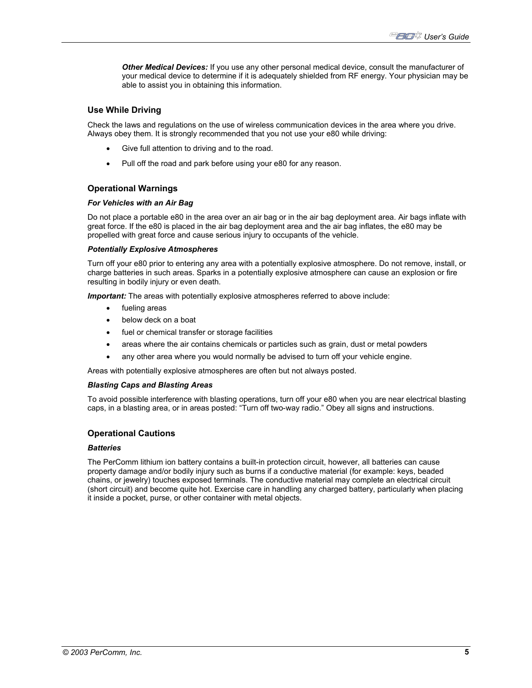*Other Medical Devices:* If you use any other personal medical device, consult the manufacturer of your medical device to determine if it is adequately shielded from RF energy. Your physician may be able to assist you in obtaining this information.

### **Use While Driving**

Check the laws and regulations on the use of wireless communication devices in the area where you drive. Always obey them. It is strongly recommended that you not use your e80 while driving:

- Give full attention to driving and to the road.
- Pull off the road and park before using your e80 for any reason.

### **Operational Warnings**

#### *For Vehicles with an Air Bag*

Do not place a portable e80 in the area over an air bag or in the air bag deployment area. Air bags inflate with great force. If the e80 is placed in the air bag deployment area and the air bag inflates, the e80 may be propelled with great force and cause serious injury to occupants of the vehicle.

#### *Potentially Explosive Atmospheres*

Turn off your e80 prior to entering any area with a potentially explosive atmosphere. Do not remove, install, or charge batteries in such areas. Sparks in a potentially explosive atmosphere can cause an explosion or fire resulting in bodily injury or even death.

**Important:** The areas with potentially explosive atmospheres referred to above include:

- fueling areas
- below deck on a boat
- fuel or chemical transfer or storage facilities
- areas where the air contains chemicals or particles such as grain, dust or metal powders
- any other area where you would normally be advised to turn off your vehicle engine.

Areas with potentially explosive atmospheres are often but not always posted.

#### *Blasting Caps and Blasting Areas*

To avoid possible interference with blasting operations, turn off your e80 when you are near electrical blasting caps, in a blasting area, or in areas posted: "Turn off two-way radio." Obey all signs and instructions.

#### **Operational Cautions**

#### *Batteries*

The PerComm lithium ion battery contains a built-in protection circuit, however, all batteries can cause property damage and/or bodily injury such as burns if a conductive material (for example: keys, beaded chains, or jewelry) touches exposed terminals. The conductive material may complete an electrical circuit (short circuit) and become quite hot. Exercise care in handling any charged battery, particularly when placing it inside a pocket, purse, or other container with metal objects.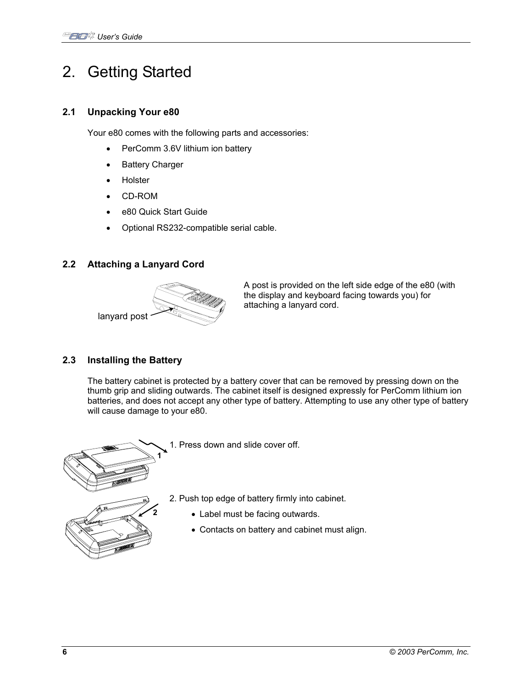# 2. Getting Started

## **2.1 Unpacking Your e80**

Your e80 comes with the following parts and accessories:

- PerComm 3.6V lithium ion battery
- Battery Charger
- Holster
- CD-ROM
- e80 Quick Start Guide
- Optional RS232-compatible serial cable.

## **2.2 Attaching a Lanyard Cord**



A post is provided on the left side edge of the e80 (with the display and keyboard facing towards you) for attaching a lanyard cord.

## **2.3 Installing the Battery**

The battery cabinet is protected by a battery cover that can be removed by pressing down on the thumb grip and sliding outwards. The cabinet itself is designed expressly for PerComm lithium ion batteries, and does not accept any other type of battery. Attempting to use any other type of battery will cause damage to your e80.



1. Press down and slide cover off.

- 2. Push top edge of battery firmly into cabinet.
	- Label must be facing outwards.
	- Contacts on battery and cabinet must align.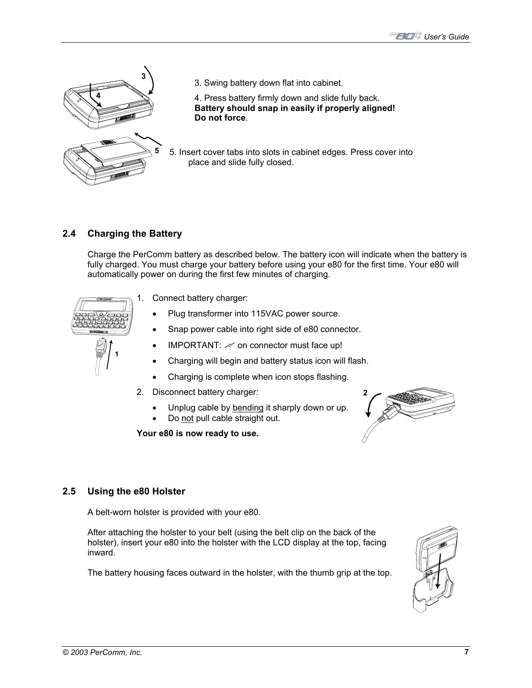

3. Swing battery down flat into cabinet.

4. Press battery firmly down and slide fully back. **Battery should snap in easily if properly aligned! Do not force**.

**5** 5. Insert cover tabs into slots in cabinet edges. Press cover into place and slide fully closed.

## **2.4 Charging the Battery**

Charge the PerComm battery as described below. The battery icon will indicate when the battery is fully charged. You must charge your battery before using your e80 for the first time. Your e80 will automatically power on during the first few minutes of charging.



1. Connect battery charger:

- Plug transformer into 115VAC power source.
- Snap power cable into right side of e80 connector.
- IMPORTANT:  $\mathcal{M}$  on connector must face up!
- Charging will begin and battery status icon will flash.
- Charging is complete when icon stops flashing.
- 2. Disconnect battery charger:
	- Unplug cable by bending it sharply down or up.
	- Do not pull cable straight out.

**Your e80 is now ready to use.** 



## **2.5 Using the e80 Holster**

A belt-worn holster is provided with your e80.

After attaching the holster to your belt (using the belt clip on the back of the holster), insert your e80 into the holster with the LCD display at the top, facing inward.

The battery housing faces outward in the holster, with the thumb grip at the top.

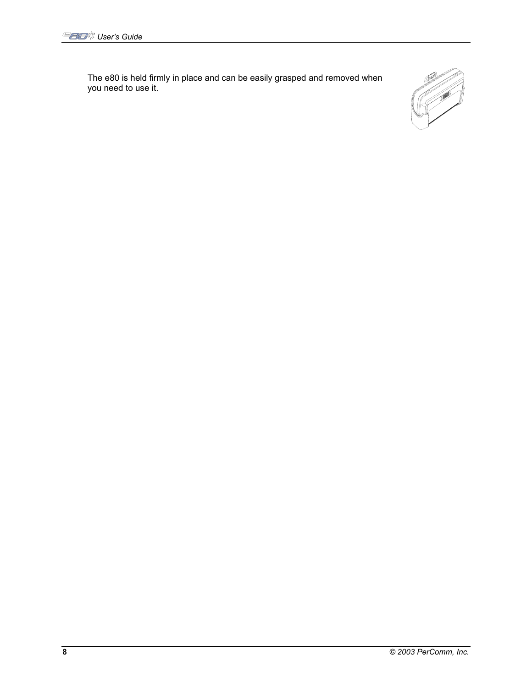The e80 is held firmly in place and can be easily grasped and removed when you need to use it.

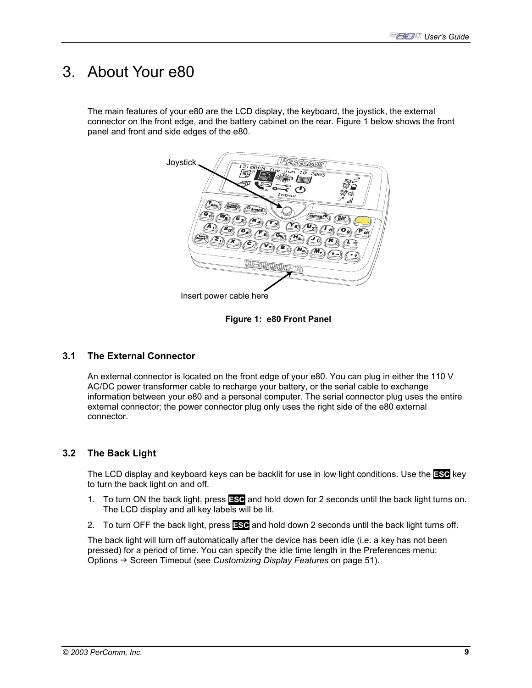## 3. About Your e80

The main features of your e80 are the LCD display, the keyboard, the joystick, the external connector on the front edge, and the battery cabinet on the rear. Figure 1 below shows the front panel and front and side edges of the e80.



**Figure 1: e80 Front Panel** 

## **3.1 The External Connector**

An external connector is located on the front edge of your e80. You can plug in either the 110 V AC/DC power transformer cable to recharge your battery, or the serial cable to exchange information between your e80 and a personal computer. The serial connector plug uses the entire external connector; the power connector plug only uses the right side of the e80 external connector.

## **3.2 The Back Light**

The LCD display and keyboard keys can be backlit for use in low light conditions. Use the **ESC** key to turn the back light on and off.

- 1. To turn ON the back light, press **ESC** and hold down for 2 seconds until the back light turns on. The LCD display and all key labels will be lit.
- 2. To turn OFF the back light, press **ESC** and hold down 2 seconds until the back light turns off.

The back light will turn off automatically after the device has been idle (i.e. a key has not been pressed) for a period of time. You can specify the idle time length in the Preferences menu: Options → Screen Timeout (see *Customizing Display Features* on page 51).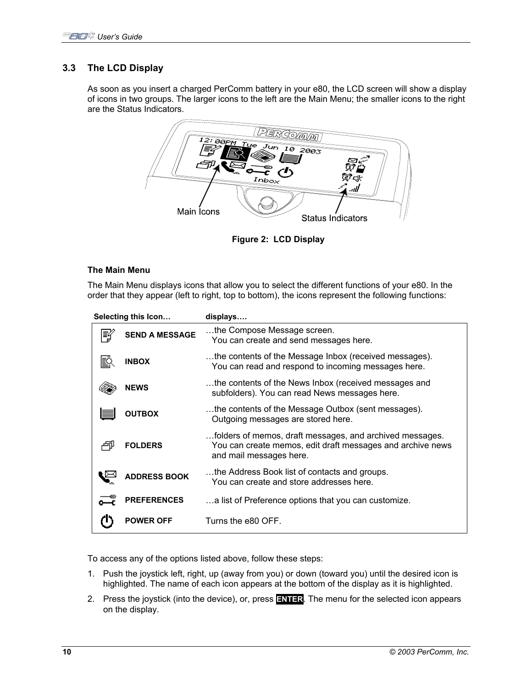## **3.3 The LCD Display**

As soon as you insert a charged PerComm battery in your e80, the LCD screen will show a display of icons in two groups. The larger icons to the left are the Main Menu; the smaller icons to the right are the Status Indicators.



**Figure 2: LCD Display** 

### **The Main Menu**

The Main Menu displays icons that allow you to select the different functions of your e80. In the order that they appear (left to right, top to bottom), the icons represent the following functions:

| Selecting this Icon |                       | displays                                                                                                                                          |
|---------------------|-----------------------|---------------------------------------------------------------------------------------------------------------------------------------------------|
| 巨                   | <b>SEND A MESSAGE</b> | the Compose Message screen.<br>You can create and send messages here.                                                                             |
|                     | <b>INBOX</b>          | the contents of the Message Inbox (received messages).<br>You can read and respond to incoming messages here.                                     |
|                     | <b>NEWS</b>           | the contents of the News Inbox (received messages and<br>subfolders). You can read News messages here.                                            |
|                     | <b>OUTBOX</b>         | the contents of the Message Outbox (sent messages).<br>Outgoing messages are stored here.                                                         |
|                     | <b>FOLDERS</b>        | folders of memos, draft messages, and archived messages.<br>You can create memos, edit draft messages and archive news<br>and mail messages here. |
|                     | <b>ADDRESS BOOK</b>   | the Address Book list of contacts and groups.<br>You can create and store addresses here.                                                         |
|                     | <b>PREFERENCES</b>    | a list of Preference options that you can customize.                                                                                              |
|                     | <b>POWER OFF</b>      | Turns the e80 OFF.                                                                                                                                |

To access any of the options listed above, follow these steps:

- 1. Push the joystick left, right, up (away from you) or down (toward you) until the desired icon is highlighted. The name of each icon appears at the bottom of the display as it is highlighted.
- 2. Press the joystick (into the device), or, press **ENTER**. The menu for the selected icon appears on the display.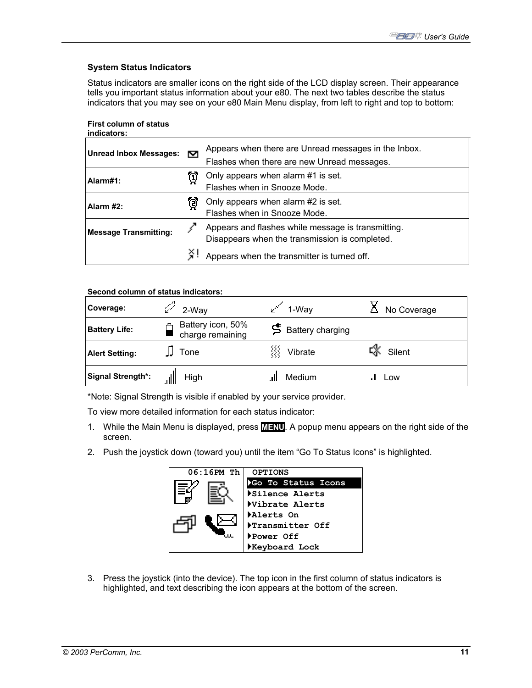### **System Status Indicators**

Status indicators are smaller icons on the right side of the LCD display screen. Their appearance tells you important status information about your e80. The next two tables describe the status indicators that you may see on your e80 Main Menu display, from left to right and top to bottom:

**First column of status indicators:** 

| <b>Unread Inbox Messages:</b><br>M |                            | Appears when there are Unread messages in the Inbox.<br>Flashes when there are new Unread messages.  |  |
|------------------------------------|----------------------------|------------------------------------------------------------------------------------------------------|--|
| Alarm#1:                           | ប្រ                        | Only appears when alarm #1 is set.<br>Flashes when in Snooze Mode.                                   |  |
| Alarm #2:                          | ថ                          | Only appears when alarm #2 is set.<br>Flashes when in Snooze Mode.                                   |  |
| <b>Message Transmitting:</b>       |                            | Appears and flashes while message is transmitting.<br>Disappears when the transmission is completed. |  |
|                                    | $\mathcal{L}_{\mathbf{a}}$ | Appears when the transmitter is turned off.                                                          |  |

### **Second column of status indicators:**

| Coverage:             | 2-Way                                 | 1-Way                     | No Coverage       |
|-----------------------|---------------------------------------|---------------------------|-------------------|
| <b>Battery Life:</b>  | Battery icon, 50%<br>charge remaining | <b>5</b> Battery charging |                   |
| <b>Alert Setting:</b> | Tone                                  | Vibrate                   | $\sqrt{3}$ Silent |
| Signal Strength*:     | High                                  | Medium                    | Low               |

\*Note: Signal Strength is visible if enabled by your service provider.

To view more detailed information for each status indicator:

- 1. While the Main Menu is displayed, press **MENU**. A popup menu appears on the right side of the screen.
- 2. Push the joystick down (toward you) until the item "Go To Status Icons" is highlighted.



3. Press the joystick (into the device). The top icon in the first column of status indicators is highlighted, and text describing the icon appears at the bottom of the screen.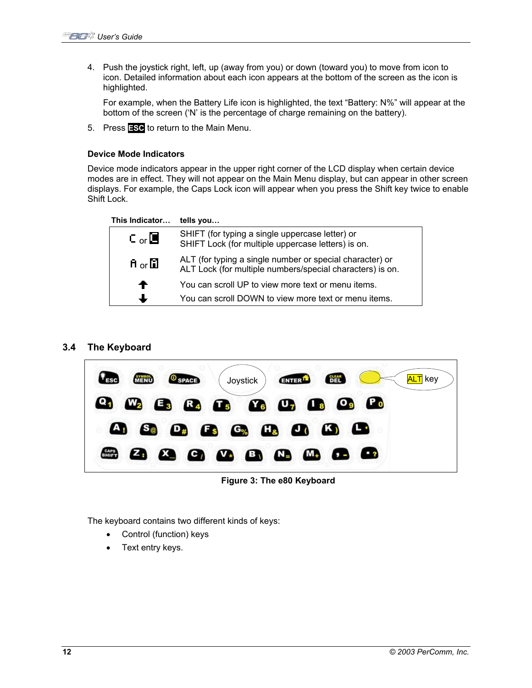4. Push the joystick right, left, up (away from you) or down (toward you) to move from icon to icon. Detailed information about each icon appears at the bottom of the screen as the icon is highlighted.

For example, when the Battery Life icon is highlighted, the text "Battery: N%" will appear at the bottom of the screen ('N' is the percentage of charge remaining on the battery).

5. Press **ESC** to return to the Main Menu.

### **Device Mode Indicators**

Device mode indicators appear in the upper right corner of the LCD display when certain device modes are in effect. They will not appear on the Main Menu display, but can appear in other screen displays. For example, the Caps Lock icon will appear when you press the Shift key twice to enable Shift Lock.

| This Indicator | tells you                                                                                                             |
|----------------|-----------------------------------------------------------------------------------------------------------------------|
| Cor            | SHIFT (for typing a single uppercase letter) or<br>SHIFT Lock (for multiple uppercase letters) is on.                 |
| ਸੈ or ⊡ੈ       | ALT (for typing a single number or special character) or<br>ALT Lock (for multiple numbers/special characters) is on. |
| ←              | You can scroll UP to view more text or menu items.                                                                    |
|                | You can scroll DOWN to view more text or menu items.                                                                  |

## **3.4 The Keyboard**



**Figure 3: The e80 Keyboard** 

The keyboard contains two different kinds of keys:

- Control (function) keys
- Text entry keys.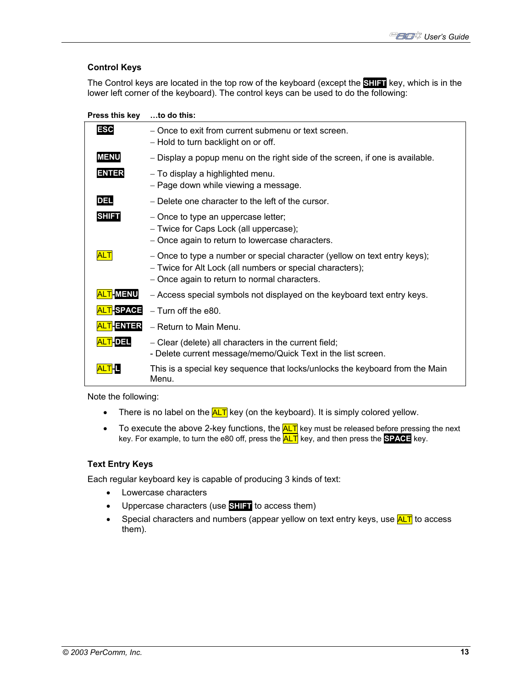## **Control Keys**

The Control keys are located in the top row of the keyboard (except the **SHIFT** key, which is in the lower left corner of the keyboard). The control keys can be used to do the following:

**Press this key …to do this:** 

| <b>ESC</b>            | - Once to exit from current submenu or text screen.<br>- Hold to turn backlight on or off.                                                                                             |
|-----------------------|----------------------------------------------------------------------------------------------------------------------------------------------------------------------------------------|
| <b>MENU</b>           | - Display a popup menu on the right side of the screen, if one is available.                                                                                                           |
| <b>ENTER</b>          | - To display a highlighted menu.<br>- Page down while viewing a message.                                                                                                               |
| <b>DEL</b>            | - Delete one character to the left of the cursor.                                                                                                                                      |
| <b>SHIFT</b>          | - Once to type an uppercase letter;<br>- Twice for Caps Lock (all uppercase);<br>- Once again to return to lowercase characters.                                                       |
| <b>ALT</b>            | - Once to type a number or special character (yellow on text entry keys);<br>- Twice for Alt Lock (all numbers or special characters);<br>- Once again to return to normal characters. |
| <b>TEMENU</b>         | - Access special symbols not displayed on the keyboard text entry keys.                                                                                                                |
| T-SPACE               | $-$ Turn off the e80.                                                                                                                                                                  |
| <mark>T</mark> -ENTER | - Return to Main Menu.                                                                                                                                                                 |
| <u>T</u> IDEL         | - Clear (delete) all characters in the current field;<br>- Delete current message/memo/Quick Text in the list screen.                                                                  |
|                       | This is a special key sequence that locks/unlocks the keyboard from the Main<br>Menu.                                                                                                  |

Note the following:

- There is no label on the  $\frac{AT}{H}$  key (on the keyboard). It is simply colored yellow.
- To execute the above 2-key functions, the  $\frac{\text{ALT}}{\text{key}}$  key must be released before pressing the next key. For example, to turn the e80 off, press the **ALT** key, and then press the **SPACE** key.

#### **Text Entry Keys**

Each regular keyboard key is capable of producing 3 kinds of text:

- Lowercase characters
- Uppercase characters (use **SHIFT** to access them)
- Special characters and numbers (appear yellow on text entry keys, use  $\frac{\text{ALT}}{\text{ALT}}$  to access them).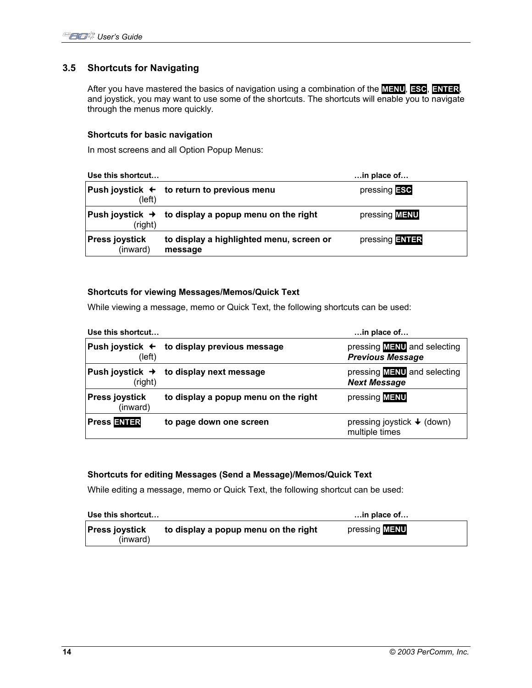## **3.5 Shortcuts for Navigating**

After you have mastered the basics of navigation using a combination of the **MENU**, **ESC**, **ENTER**, and joystick, you may want to use some of the shortcuts. The shortcuts will enable you to navigate through the menus more quickly.

### **Shortcuts for basic navigation**

In most screens and all Option Popup Menus:

| Use this shortcut                 |                                                                  | $$ in place of       |
|-----------------------------------|------------------------------------------------------------------|----------------------|
| (left)                            | Push joystick $\leftarrow$ to return to previous menu            | $presing$ <b>ESC</b> |
| (right)                           | Push joystick $\rightarrow$ to display a popup menu on the right | pressing <b>MENU</b> |
| <b>Press joystick</b><br>(inward) | to display a highlighted menu, screen or<br>message              | pressing ENTER       |

### **Shortcuts for viewing Messages/Memos/Quick Text**

While viewing a message, memo or Quick Text, the following shortcuts can be used:

| Use this shortcut                 |                                                        | in place of                                                   |
|-----------------------------------|--------------------------------------------------------|---------------------------------------------------------------|
| (left)                            | Push joystick $\leftarrow$ to display previous message | pressing <b>MENU</b> and selecting<br><b>Previous Message</b> |
| (right)                           | Push joystick $\rightarrow$ to display next message    | pressing <b>MENU</b> and selecting<br><b>Next Message</b>     |
| <b>Press joystick</b><br>(inward) | to display a popup menu on the right                   | pressing <b>MENU</b>                                          |
| <b>Press ENTER</b>                | to page down one screen                                | pressing joystick $\blacklozenge$ (down)<br>multiple times    |

### **Shortcuts for editing Messages (Send a Message)/Memos/Quick Text**

While editing a message, memo or Quick Text, the following shortcut can be used:

| Use this shortcut                 |                                      | $\dots$ in place of $\dots$ |
|-----------------------------------|--------------------------------------|-----------------------------|
| <b>Press joystick</b><br>(inward) | to display a popup menu on the right | pressing <b>MENU</b>        |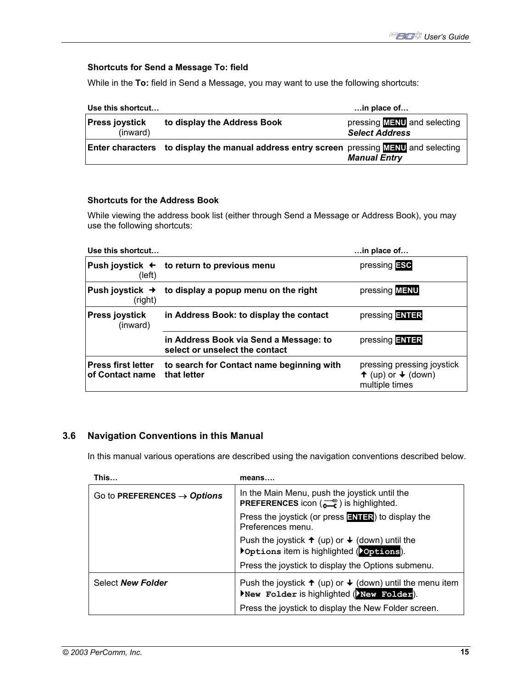## **Shortcuts for Send a Message To: field**

While in the **To:** field in Send a Message, you may want to use the following shortcuts:

| Use this shortcut                 |                                                                                                       | $\dots$ in place of $\dots$                                 |
|-----------------------------------|-------------------------------------------------------------------------------------------------------|-------------------------------------------------------------|
| <b>Press joystick</b><br>(inward) | to display the Address Book                                                                           | pressing <b>MENU</b> and selecting<br><b>Select Address</b> |
|                                   | <b>Enter characters</b> to display the manual address entry screen pressing <b>MENU</b> and selecting | <b>Manual Entry</b>                                         |

### **Shortcuts for the Address Book**

While viewing the address book list (either through Send a Message or Address Book), you may use the following shortcuts:

| Use this shortcut                            |                                                                          | in place of                                                                            |
|----------------------------------------------|--------------------------------------------------------------------------|----------------------------------------------------------------------------------------|
| (left)                                       | Push joystick $\leftarrow$ to return to previous menu                    | pressing <b>ESC</b>                                                                    |
| Push joystick $\rightarrow$<br>(right)       | to display a popup menu on the right                                     | pressing <b>MENU</b>                                                                   |
| <b>Press joystick</b><br>(inward)            | in Address Book: to display the contact                                  | pressing <b>ENTER</b>                                                                  |
|                                              | in Address Book via Send a Message: to<br>select or unselect the contact | pressing ENTER                                                                         |
| <b>Press first letter</b><br>of Contact name | to search for Contact name beginning with<br>that letter                 | pressing pressing joystick<br>$\uparrow$ (up) or $\downarrow$ (down)<br>multiple times |

## **3.6 Navigation Conventions in this Manual**

In this manual various operations are described using the navigation conventions described below.

| This                                    | means                                                                                                                                              |  |
|-----------------------------------------|----------------------------------------------------------------------------------------------------------------------------------------------------|--|
| Go to PREFERENCES $\rightarrow$ Options | In the Main Menu, push the joystick until the<br><b>PREFERENCES</b> icon $\begin{pmatrix} -\mathbb{Q} \\ \mathbb{Z} \end{pmatrix}$ is highlighted. |  |
|                                         | Press the joystick (or press <b>ENTER</b> ) to display the<br>Preferences menu.                                                                    |  |
|                                         | Push the joystick $\uparrow$ (up) or $\downarrow$ (down) until the<br>▶ Options item is highlighted (▶ Options).                                   |  |
|                                         | Press the joystick to display the Options submenu.                                                                                                 |  |
| Select New Folder                       | Push the joystick $\uparrow$ (up) or $\downarrow$ (down) until the menu item<br>New Folder is highlighted (New Folder).                            |  |
|                                         | Press the joystick to display the New Folder screen.                                                                                               |  |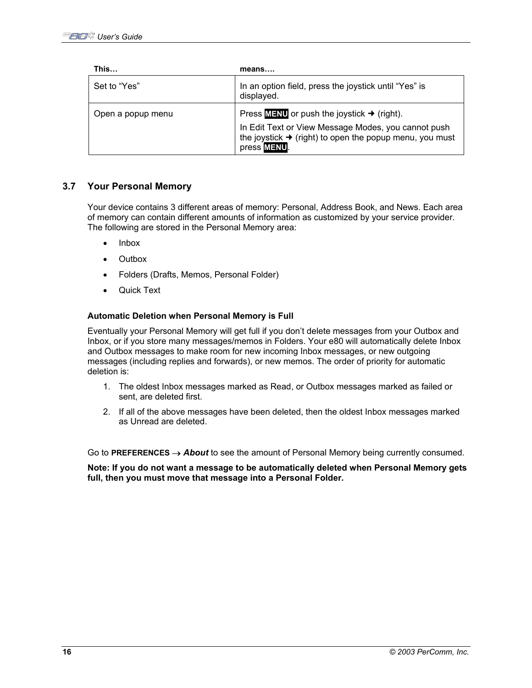| This              | means                                                                                                                                     |
|-------------------|-------------------------------------------------------------------------------------------------------------------------------------------|
| Set to "Yes"      | In an option field, press the joystick until "Yes" is<br>displayed.                                                                       |
| Open a popup menu | Press $M = NU$ or push the joystick $\rightarrow$ (right).                                                                                |
|                   | In Edit Text or View Message Modes, you cannot push<br>the joystick $\rightarrow$ (right) to open the popup menu, you must<br>press MENU. |

## **3.7 Your Personal Memory**

Your device contains 3 different areas of memory: Personal, Address Book, and News. Each area of memory can contain different amounts of information as customized by your service provider. The following are stored in the Personal Memory area:

- Inbox
- Outbox
- Folders (Drafts, Memos, Personal Folder)
- **Quick Text**

#### **Automatic Deletion when Personal Memory is Full**

Eventually your Personal Memory will get full if you don't delete messages from your Outbox and Inbox, or if you store many messages/memos in Folders. Your e80 will automatically delete Inbox and Outbox messages to make room for new incoming Inbox messages, or new outgoing messages (including replies and forwards), or new memos. The order of priority for automatic deletion is:

- 1. The oldest Inbox messages marked as Read, or Outbox messages marked as failed or sent, are deleted first.
- 2. If all of the above messages have been deleted, then the oldest Inbox messages marked as Unread are deleted.

Go to **PREFERENCES** → *About* to see the amount of Personal Memory being currently consumed.

**Note: If you do not want a message to be automatically deleted when Personal Memory gets full, then you must move that message into a Personal Folder.**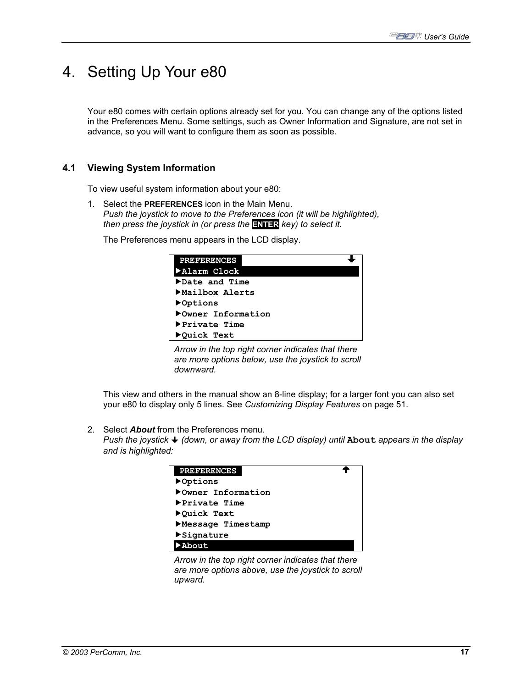# 4. Setting Up Your e80

Your e80 comes with certain options already set for you. You can change any of the options listed in the Preferences Menu. Some settings, such as Owner Information and Signature, are not set in advance, so you will want to configure them as soon as possible.

## **4.1 Viewing System Information**

To view useful system information about your e80:

1. Select the **PREFERENCES** icon in the Main Menu. *Push the joystick to move to the Preferences icon (it will be highlighted), then press the joystick in (or press the* **ENTER** *key) to select it.*

The Preferences menu appears in the LCD display.



*Arrow in the top right corner indicates that there are more options below, use the joystick to scroll downward.* 

This view and others in the manual show an 8-line display; for a larger font you can also set your e80 to display only 5 lines. See *Customizing Display Features* on page 51.

2. Select *About* from the Preferences menu.

*Push the joystick (down, or away from the LCD display) until* **About** *appears in the display and is highlighted:*



*Arrow in the top right corner indicates that there are more options above, use the joystick to scroll upward.*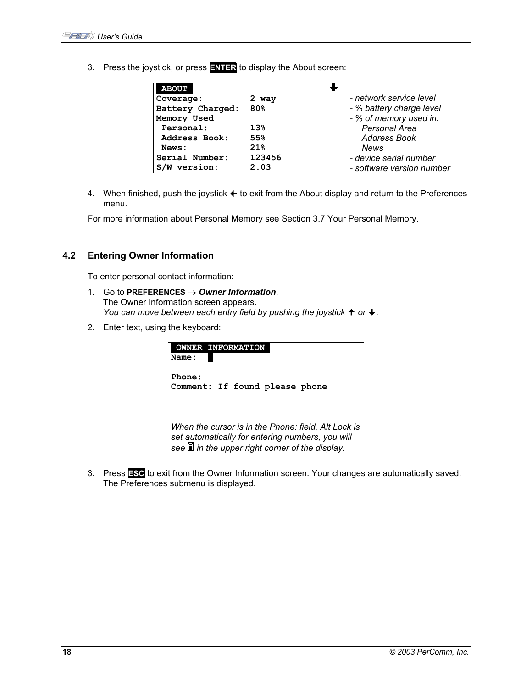3. Press the joystick, or press **ENTER** to display the About screen:

| <b>ABOUT</b>     |                 |                           |
|------------------|-----------------|---------------------------|
| Coverage:        | 2 way           | - network service level   |
| Battery Charged: | 80%             | - % battery charge level  |
| Memory Used      |                 | - % of memory used in:    |
| Personal:        | 13 <sub>8</sub> | Personal Area             |
| Address Book:    | 55%             | <b>Address Book</b>       |
| News:            | 21%             | <b>News</b>               |
| Serial Number:   | 123456          | - device serial number    |
| version:<br>S/W  | 2.03            | - software version number |

4. When finished, push the joystick  $\triangleq$  to exit from the About display and return to the Preferences menu.

For more information about Personal Memory see Section 3.7 Your Personal Memory.

## **4.2 Entering Owner Information**

To enter personal contact information:

- 1. Go to **PREFERENCES** → *Owner Information*. The Owner Information screen appears. *You can move between each entry field by pushing the joystick*  $\uparrow$  or  $\downarrow$ .
- 2. Enter text, using the keyboard:

| <b>OWNER INFORMATION</b>                                     |
|--------------------------------------------------------------|
| Name:                                                        |
|                                                              |
| Phone:                                                       |
| Comment: If found please phone                               |
|                                                              |
|                                                              |
|                                                              |
| $M/h$ an tha cursor is in tha Dhona: fiald $\Delta H$ ock is |

*When the cursor is in the Phone: field, Alt Lock is set automatically for entering numbers, you will see in the upper right corner of the display.* 

3. Press **ESC** to exit from the Owner Information screen. Your changes are automatically saved. The Preferences submenu is displayed.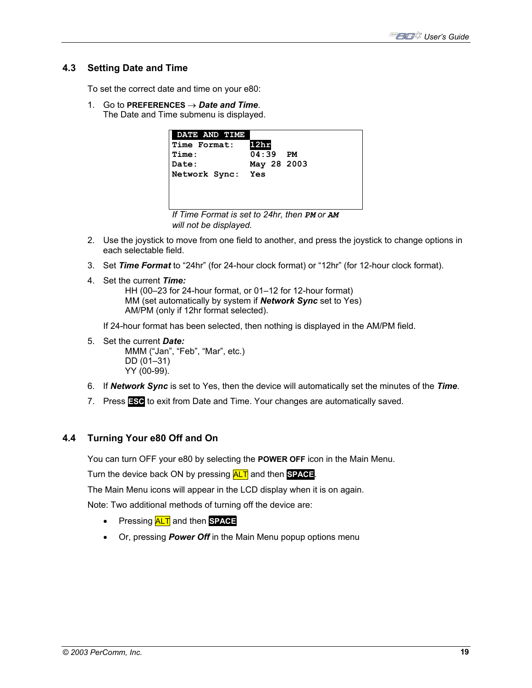## **4.3 Setting Date and Time**

To set the correct date and time on your e80:

1. Go to **PREFERENCES** → *Date and Time*. The Date and Time submenu is displayed.



- 2. Use the joystick to move from one field to another, and press the joystick to change options in each selectable field.
- 3. Set *Time Format* to "24hr" (for 24-hour clock format) or "12hr" (for 12-hour clock format).
- 4. Set the current *Time:* HH (00–23 for 24-hour format, or 01–12 for 12-hour format) MM (set automatically by system if *Network Sync* set to Yes) AM/PM (only if 12hr format selected).

If 24-hour format has been selected, then nothing is displayed in the AM/PM field.

5. Set the current *Date:*

 MMM ("Jan", "Feb", "Mar", etc.) DD (01–31) YY (00-99).

- 6. If *Network Sync* is set to Yes, then the device will automatically set the minutes of the *Time*.
- 7. Press **ESC** to exit from Date and Time. Your changes are automatically saved.

### **4.4 Turning Your e80 Off and On**

You can turn OFF your e80 by selecting the **POWER OFF** icon in the Main Menu.

Turn the device back ON by pressing ALT and then **SPACE**.

The Main Menu icons will appear in the LCD display when it is on again.

Note: Two additional methods of turning off the device are:

- Pressing ALT and then **SPACE**
- Or, pressing *Power Off* in the Main Menu popup options menu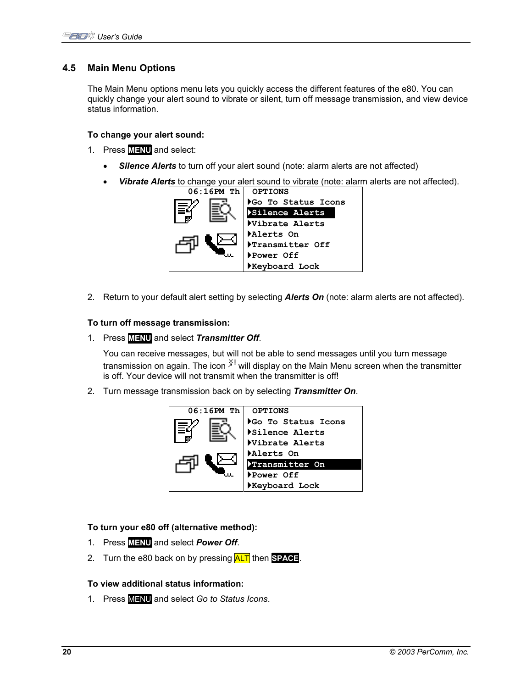## **4.5 Main Menu Options**

The Main Menu options menu lets you quickly access the different features of the e80. You can quickly change your alert sound to vibrate or silent, turn off message transmission, and view device status information.

### **To change your alert sound:**

- 1. Press **MENU** and select:
	- **Silence Alerts** to turn off your alert sound (note: alarm alerts are not affected)
	- Vibrate Alerts to change your alert sound to vibrate (note: alarm alerts are not affected).



2. Return to your default alert setting by selecting *Alerts On* (note: alarm alerts are not affected).

### **To turn off message transmission:**

1. Press **MENU** and select *Transmitter Off*.

You can receive messages, but will not be able to send messages until you turn message transmission on again. The icon  $\tilde{x}^1$  will display on the Main Menu screen when the transmitter is off. Your device will not transmit when the transmitter is off!

2. Turn message transmission back on by selecting *Transmitter On*.



### **To turn your e80 off (alternative method):**

- 1. Press **MENU** and select *Power Off*.
- 2. Turn the e80 back on by pressing ALT then **SPACE**.

## **To view additional status information:**

1. Press MENU and select *Go to Status Icons*.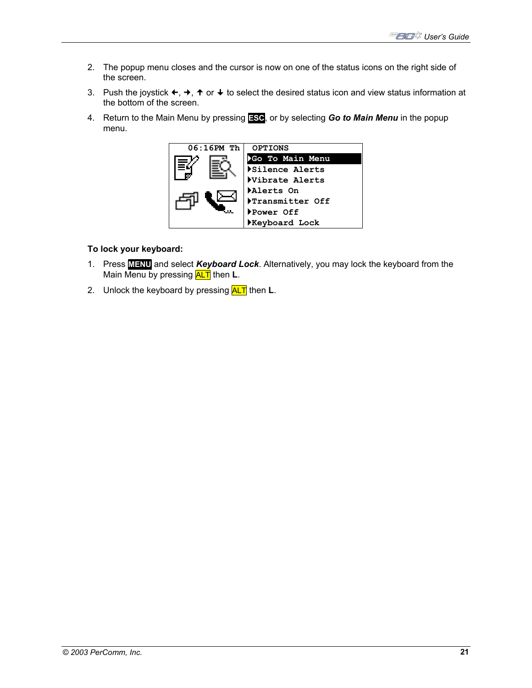- 2. The popup menu closes and the cursor is now on one of the status icons on the right side of the screen.
- 3. Push the joystick  $\leftarrow, \rightarrow, \uparrow$  or  $\downarrow$  to select the desired status icon and view status information at the bottom of the screen.
- 4. Return to the Main Menu by pressing **ESC**, or by selecting *Go to Main Menu* in the popup menu.



## **To lock your keyboard:**

- 1. Press **MENU** and select *Keyboard Lock*. Alternatively, you may lock the keyboard from the Main Menu by pressing **ALT** then **L**.
- 2. Unlock the keyboard by pressing **ALT** then **L**.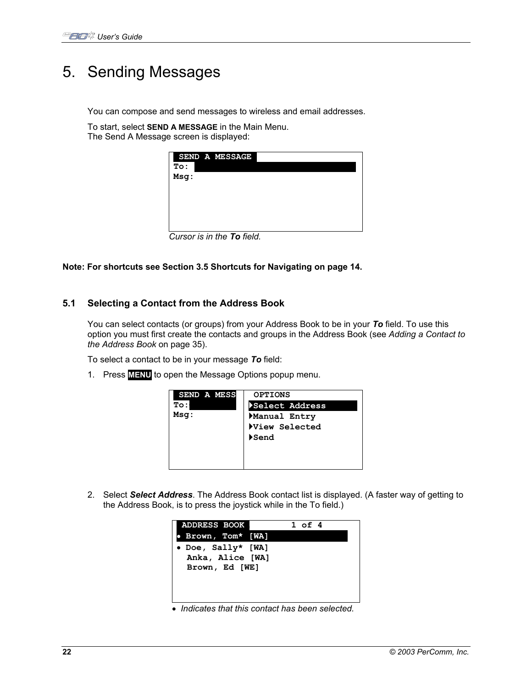# 5. Sending Messages

You can compose and send messages to wireless and email addresses.

To start, select **SEND A MESSAGE** in the Main Menu. The Send A Message screen is displayed:

| SEND A MESSAGE |  |
|----------------|--|
| To:            |  |
| Msg:           |  |
|                |  |
|                |  |
|                |  |
|                |  |
|                |  |



**Note: For shortcuts see Section 3.5 Shortcuts for Navigating on page 14.**

## **5.1 Selecting a Contact from the Address Book**

You can select contacts (or groups) from your Address Book to be in your *To* field. To use this option you must first create the contacts and groups in the Address Book (see *Adding a Contact to the Address Book* on page 35).

To select a contact to be in your message *To* field:

1. Press **MENU** to open the Message Options popup menu.

| SEND A MESS | <b>OPTIONS</b> |
|-------------|----------------|
| <b>To:</b>  | Select Address |
| Msq:        | Manual Entry   |
|             | View Selected  |
|             | Send           |
|             |                |
|             |                |
|             |                |

2. Select *Select Address*. The Address Book contact list is displayed. (A faster way of getting to the Address Book, is to press the joystick while in the To field.)

| <b>ADDRESS BOOK</b> |  | $1$ of $4$ |  |
|---------------------|--|------------|--|
| Brown, Tom* [WA]    |  |            |  |
| • Doe, Sally* [WA]  |  |            |  |
| Anka, Alice [WA]    |  |            |  |
| Brown, Ed [WE]      |  |            |  |
|                     |  |            |  |
|                     |  |            |  |
|                     |  |            |  |

• *Indicates that this contact has been selected.*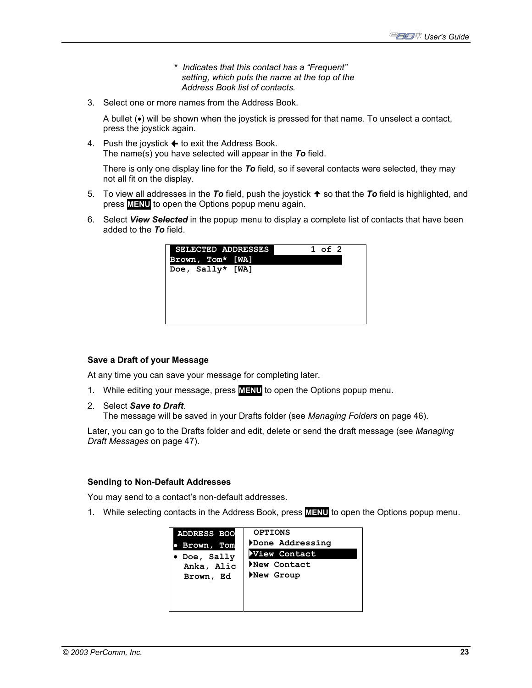- **\*** *Indicates that this contact has a "Frequent" setting, which puts the name at the top of the Address Book list of contacts.*
- 3. Select one or more names from the Address Book.

A bullet (•) will be shown when the joystick is pressed for that name. To unselect a contact, press the joystick again.

4. Push the joystick  $\triangle$  to exit the Address Book. The name(s) you have selected will appear in the *To* field.

There is only one display line for the *To* field, so if several contacts were selected, they may not all fit on the display.

- 5. To view all addresses in the **To** field, push the joystick  $\uparrow$  so that the **To** field is highlighted, and press **MENU** to open the Options popup menu again.
- 6. Select *View Selected* in the popup menu to display a complete list of contacts that have been added to the *To* field.

| <b>SELECTED ADDRESSES</b> |  | $1$ of $2$ |
|---------------------------|--|------------|
| Brown, Tom* [WA]          |  |            |
| Doe, Sally* [WA]          |  |            |
|                           |  |            |
|                           |  |            |
|                           |  |            |
|                           |  |            |
|                           |  |            |
|                           |  |            |

### **Save a Draft of your Message**

At any time you can save your message for completing later.

- 1. While editing your message, press **MENU** to open the Options popup menu.
- 2. Select *Save to Draft*.

The message will be saved in your Drafts folder (see *Managing Folders* on page 46).

Later, you can go to the Drafts folder and edit, delete or send the draft message (see *Managing Draft Messages* on page 47).

### **Sending to Non-Default Addresses**

You may send to a contact's non-default addresses.

1. While selecting contacts in the Address Book, press **MENU** to open the Options popup menu.

| <b>ADDRESS BOO</b> | <b>OPTIONS</b>  |
|--------------------|-----------------|
| Brown, Tom         | Done Addressing |
| • Doe, Sally       | View Contact    |
| Anka, Alic         | New Contact     |
| Brown, Ed          | New Group       |
|                    |                 |
|                    |                 |
|                    |                 |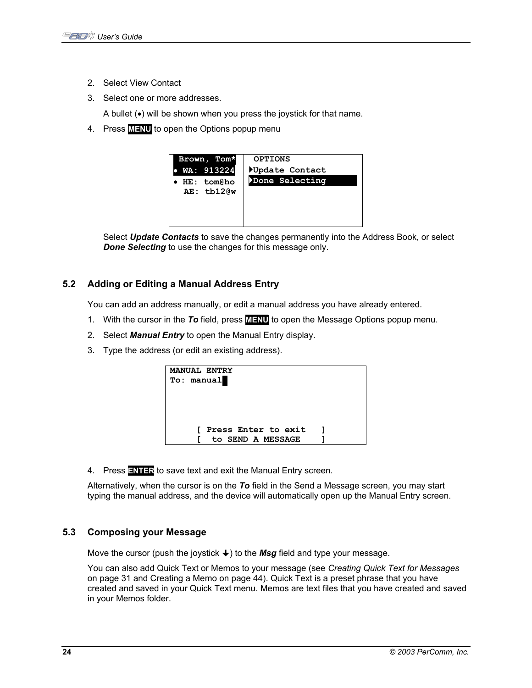- 2. Select View Contact
- 3. Select one or more addresses.

A bullet (•) will be shown when you press the joystick for that name.

4. Press **MENU** to open the Options popup menu



Select *Update Contacts* to save the changes permanently into the Address Book, or select *Done Selecting* to use the changes for this message only.

## **5.2 Adding or Editing a Manual Address Entry**

You can add an address manually, or edit a manual address you have already entered.

- 1. With the cursor in the *To* field, press **MENU** to open the Message Options popup menu.
- 2. Select *Manual Entry* to open the Manual Entry display.
- 3. Type the address (or edit an existing address).



4. Press **ENTER** to save text and exit the Manual Entry screen.

Alternatively, when the cursor is on the *To* field in the Send a Message screen, you may start typing the manual address, and the device will automatically open up the Manual Entry screen.

## **5.3 Composing your Message**

Move the cursor (push the joystick  $\bigstar$ ) to the *Msg* field and type your message.

You can also add Quick Text or Memos to your message (see *Creating Quick Text for Messages*  on page 31 and Creating a Memo on page 44). Quick Text is a preset phrase that you have created and saved in your Quick Text menu. Memos are text files that you have created and saved in your Memos folder.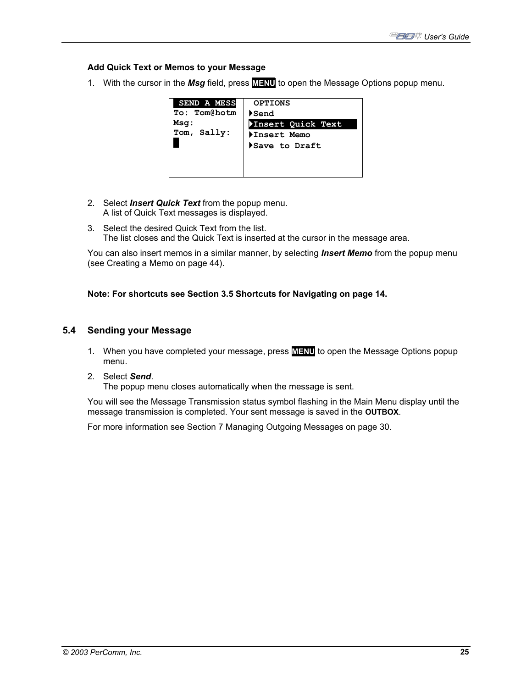## **Add Quick Text or Memos to your Message**

1. With the cursor in the *Msg* field, press **MENU** to open the Message Options popup menu.



- 2. Select *Insert Quick Text* from the popup menu. A list of Quick Text messages is displayed.
- 3. Select the desired Quick Text from the list. The list closes and the Quick Text is inserted at the cursor in the message area.

You can also insert memos in a similar manner, by selecting *Insert Memo* from the popup menu (see Creating a Memo on page 44).

### **Note: For shortcuts see Section 3.5 Shortcuts for Navigating on page 14.**

### **5.4 Sending your Message**

1. When you have completed your message, press **MENU** to open the Message Options popup menu.

#### 2. Select *Send*.

The popup menu closes automatically when the message is sent.

You will see the Message Transmission status symbol flashing in the Main Menu display until the message transmission is completed. Your sent message is saved in the **OUTBOX**.

For more information see Section 7 Managing Outgoing Messages on page 30.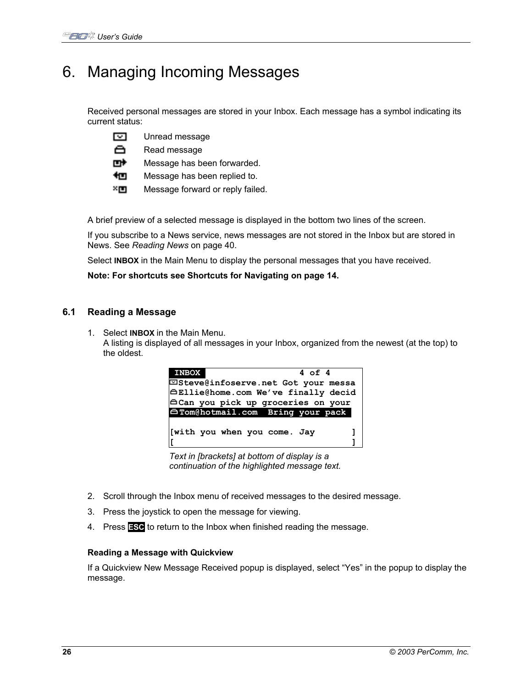## 6. Managing Incoming Messages

Received personal messages are stored in your Inbox. Each message has a symbol indicating its current status:

⊡ Unread message

ô Read message

mł Message has been forwarded.

忉 Message has been replied to.

×ш. Message forward or reply failed.

A brief preview of a selected message is displayed in the bottom two lines of the screen.

If you subscribe to a News service, news messages are not stored in the Inbox but are stored in News. See *Reading News* on page 40.

Select **INBOX** in the Main Menu to display the personal messages that you have received.

**Note: For shortcuts see Shortcuts for Navigating on page 14.** 

## **6.1 Reading a Message**

1. Select **INBOX** in the Main Menu. A listing is displayed of all messages in your Inbox, organized from the newest (at the top) to the oldest.



*Text in [brackets] at bottom of display is a continuation of the highlighted message text.* 

- 2. Scroll through the Inbox menu of received messages to the desired message.
- 3. Press the joystick to open the message for viewing.
- 4. Press **ESC** to return to the Inbox when finished reading the message.

### **Reading a Message with Quickview**

If a Quickview New Message Received popup is displayed, select "Yes" in the popup to display the message.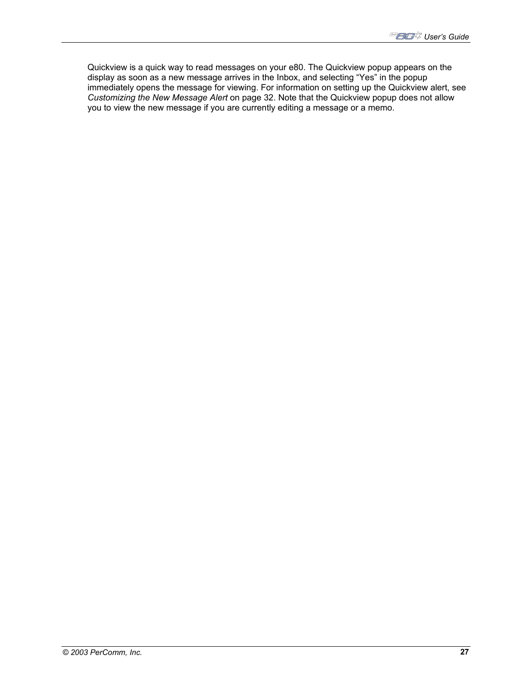Quickview is a quick way to read messages on your e80. The Quickview popup appears on the display as soon as a new message arrives in the Inbox, and selecting "Yes" in the popup immediately opens the message for viewing. For information on setting up the Quickview alert, see *Customizing the New Message Alert* on page 32. Note that the Quickview popup does not allow you to view the new message if you are currently editing a message or a memo.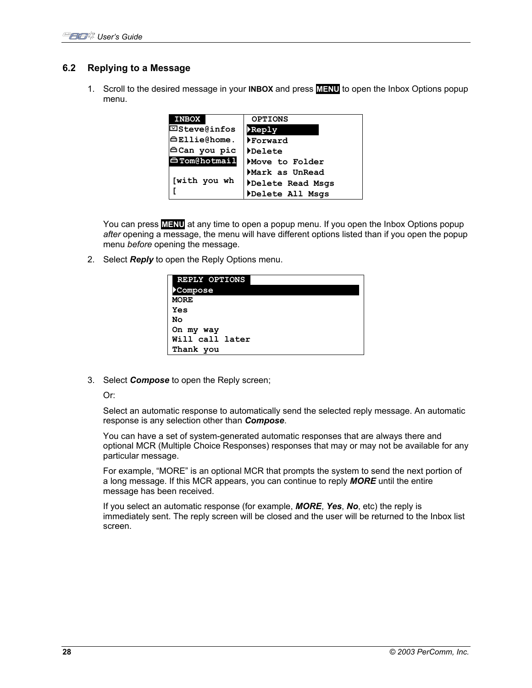## **6.2 Replying to a Message**

1. Scroll to the desired message in your **INBOX** and press **MENU** to open the Inbox Options popup menu.

| <b>INBOX</b>        | <b>OPTIONS</b>   |
|---------------------|------------------|
| <b>⊡Steve@infos</b> | Reply            |
| <b>⊖Ellie@home.</b> | ▶Forward         |
| ⊖Can you pic        | Delete           |
| <b>∆Tom@hotmail</b> | Move to Folder   |
|                     | Mark as UnRead   |
| [with you wh        | Delete Read Msgs |
|                     | Delete All Msgs  |

You can press **MENU** at any time to open a popup menu. If you open the Inbox Options popup *after* opening a message, the menu will have different options listed than if you open the popup menu *before* opening the message.

2. Select *Reply* to open the Reply Options menu.

| REPLY OPTIONS<br>Compose |
|--------------------------|
| <b>MORE</b>              |
| Yes                      |
| No                       |
| On my way                |
| Will call later          |
| Thank you                |

3. Select *Compose* to open the Reply screen;

#### Or:

Select an automatic response to automatically send the selected reply message. An automatic response is any selection other than *Compose*.

You can have a set of system-generated automatic responses that are always there and optional MCR (Multiple Choice Responses) responses that may or may not be available for any particular message.

For example, "MORE" is an optional MCR that prompts the system to send the next portion of a long message. If this MCR appears, you can continue to reply *MORE* until the entire message has been received.

If you select an automatic response (for example, *MORE*, *Yes*, *No*, etc) the reply is immediately sent. The reply screen will be closed and the user will be returned to the Inbox list screen.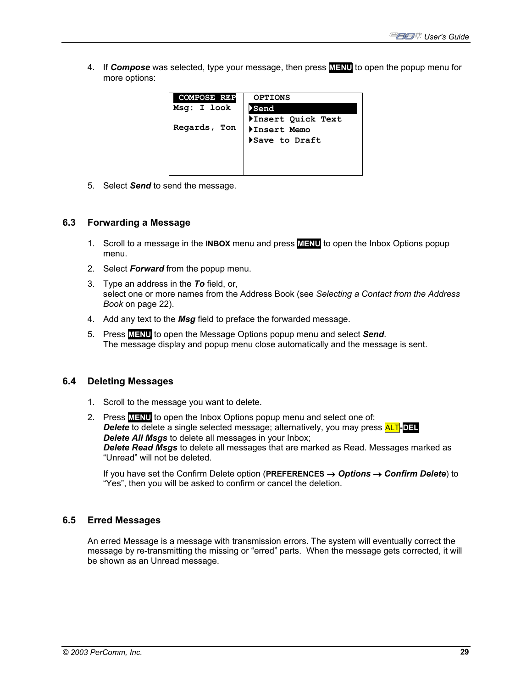4. If *Compose* was selected, type your message, then press **MENU** to open the popup menu for more options:

| <b>COMPOSE REP</b> | <b>OPTIONS</b>     |
|--------------------|--------------------|
| Msg: I look        | <b>&gt;Send</b>    |
|                    | ▶Insert Quick Text |
| Regards, Ton       | Insert Memo        |
|                    | Save to Draft      |
|                    |                    |
|                    |                    |
|                    |                    |

5. Select *Send* to send the message.

### **6.3 Forwarding a Message**

- 1. Scroll to a message in the **INBOX** menu and press **MENU** to open the Inbox Options popup menu.
- 2. Select *Forward* from the popup menu.
- 3. Type an address in the *To* field, or, select one or more names from the Address Book (see *Selecting a Contact from the Address Book* on page 22).
- 4. Add any text to the *Msg* field to preface the forwarded message.
- 5. Press **MENU** to open the Message Options popup menu and select *Send*. The message display and popup menu close automatically and the message is sent.

### **6.4 Deleting Messages**

- 1. Scroll to the message you want to delete.
- 2. Press **MENU** to open the Inbox Options popup menu and select one of: *Delete* to delete a single selected message; alternatively, you may press ALT**-DEL** *Delete All Msgs* to delete all messages in your Inbox; *Delete Read Msgs* to delete all messages that are marked as Read. Messages marked as "Unread" will not be deleted.

If you have set the Confirm Delete option (**PREFERENCES** → *Options* → *Confirm Delete*) to "Yes", then you will be asked to confirm or cancel the deletion.

### **6.5 Erred Messages**

An erred Message is a message with transmission errors. The system will eventually correct the message by re-transmitting the missing or "erred" parts. When the message gets corrected, it will be shown as an Unread message.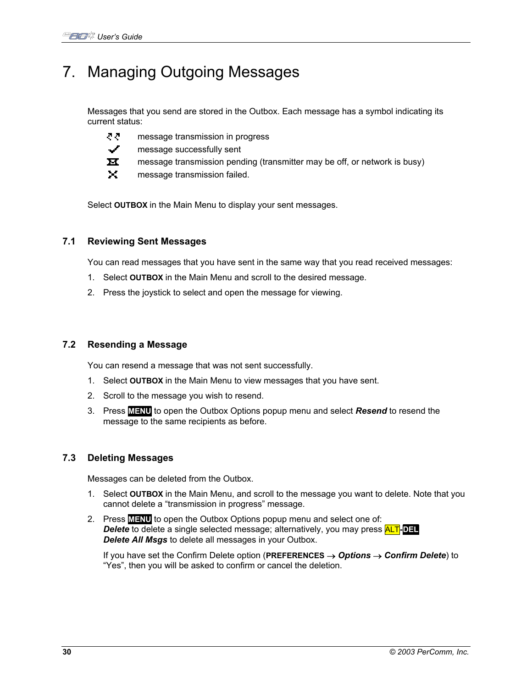## 7. Managing Outgoing Messages

Messages that you send are stored in the Outbox. Each message has a symbol indicating its current status:

- ਟਟ message transmission in progress
- ✓ message successfully sent
- $\overline{\mathbf{M}}$ message transmission pending (transmitter may be off, or network is busy)
- ×. message transmission failed.

Select **OUTBOX** in the Main Menu to display your sent messages.

## **7.1 Reviewing Sent Messages**

You can read messages that you have sent in the same way that you read received messages:

- 1. Select **OUTBOX** in the Main Menu and scroll to the desired message.
- 2. Press the joystick to select and open the message for viewing.

## **7.2 Resending a Message**

You can resend a message that was not sent successfully.

- 1. Select **OUTBOX** in the Main Menu to view messages that you have sent.
- 2. Scroll to the message you wish to resend.
- 3. Press **MENU** to open the Outbox Options popup menu and select *Resend* to resend the message to the same recipients as before.

## **7.3 Deleting Messages**

Messages can be deleted from the Outbox.

- 1. Select **OUTBOX** in the Main Menu, and scroll to the message you want to delete. Note that you cannot delete a "transmission in progress" message.
- 2. Press **MENU** to open the Outbox Options popup menu and select one of: *Delete* to delete a single selected message; alternatively, you may press ALT**-DEL** *Delete All Msgs* to delete all messages in your Outbox.

If you have set the Confirm Delete option (**PREFERENCES** → *Options* → *Confirm Delete*) to "Yes", then you will be asked to confirm or cancel the deletion.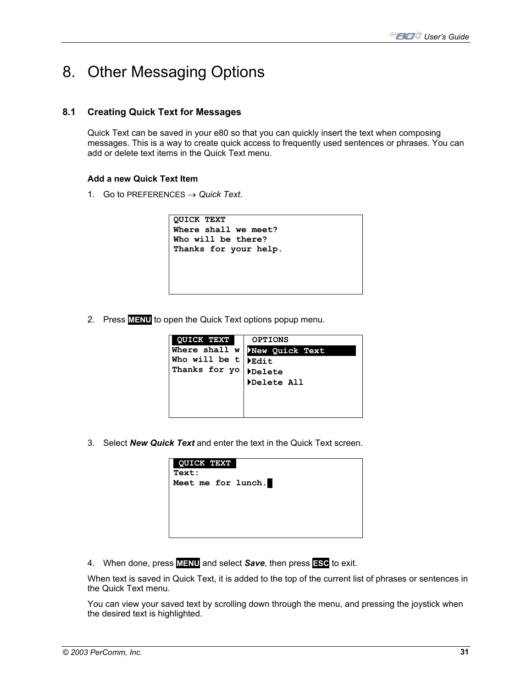## 8. Other Messaging Options

## **8.1 Creating Quick Text for Messages**

Quick Text can be saved in your e80 so that you can quickly insert the text when composing messages. This is a way to create quick access to frequently used sentences or phrases. You can add or delete text items in the Quick Text menu.

## **Add a new Quick Text Item**

1. Go to PREFERENCES  $\rightarrow$  *Quick Text.* 

2. Press **MENU** to open the Quick Text options popup menu.

| <b>QUICK TEXT</b>                  | <b>OPTIONS</b> |  |
|------------------------------------|----------------|--|
| Where shall w                      | New Quick Text |  |
| Who will be t                      | Edit           |  |
| Thanks for yo Delete<br>Delete All |                |  |
|                                    |                |  |
|                                    |                |  |
|                                    |                |  |
|                                    |                |  |

3. Select *New Quick Text* and enter the text in the Quick Text screen.

| QUICK TEXT<br>Text: |  |
|---------------------|--|
| Meet me for lunch.  |  |
|                     |  |
|                     |  |

4. When done, press **MENU** and select *Save*, then press **ESC** to exit.

When text is saved in Quick Text, it is added to the top of the current list of phrases or sentences in the Quick Text menu.

You can view your saved text by scrolling down through the menu, and pressing the joystick when the desired text is highlighted.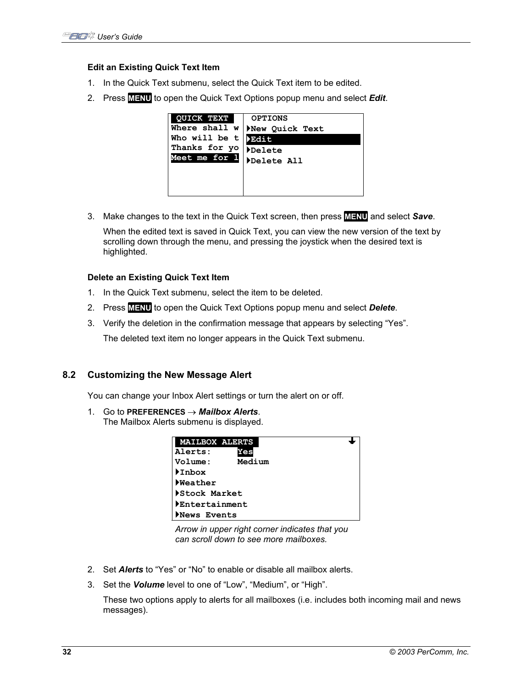### **Edit an Existing Quick Text Item**

- 1. In the Quick Text submenu, select the Quick Text item to be edited.
- 2. Press **MENU** to open the Quick Text Options popup menu and select *Edit*.



3. Make changes to the text in the Quick Text screen, then press **MENU** and select *Save*.

When the edited text is saved in Quick Text, you can view the new version of the text by scrolling down through the menu, and pressing the joystick when the desired text is highlighted.

### **Delete an Existing Quick Text Item**

- 1. In the Quick Text submenu, select the item to be deleted.
- 2. Press **MENU** to open the Quick Text Options popup menu and select *Delete*.
- 3. Verify the deletion in the confirmation message that appears by selecting "Yes".

The deleted text item no longer appears in the Quick Text submenu.

### **8.2 Customizing the New Message Alert**

You can change your Inbox Alert settings or turn the alert on or off.

1. Go to **PREFERENCES** → *Mailbox Alerts*. The Mailbox Alerts submenu is displayed.

| <b>MAILBOX ALERTS</b> |  |
|-----------------------|--|
| Alerts:<br>Yes        |  |
| Medium<br>Volume:     |  |
| Inbox                 |  |
| <b>Neather</b>        |  |
| Stock Market          |  |
| Entertainment         |  |
| News Events           |  |

*Arrow in upper right corner indicates that you can scroll down to see more mailboxes.* 

- 2. Set *Alerts* to "Yes" or "No" to enable or disable all mailbox alerts.
- 3. Set the *Volume* level to one of "Low", "Medium", or "High".

These two options apply to alerts for all mailboxes (i.e. includes both incoming mail and news messages).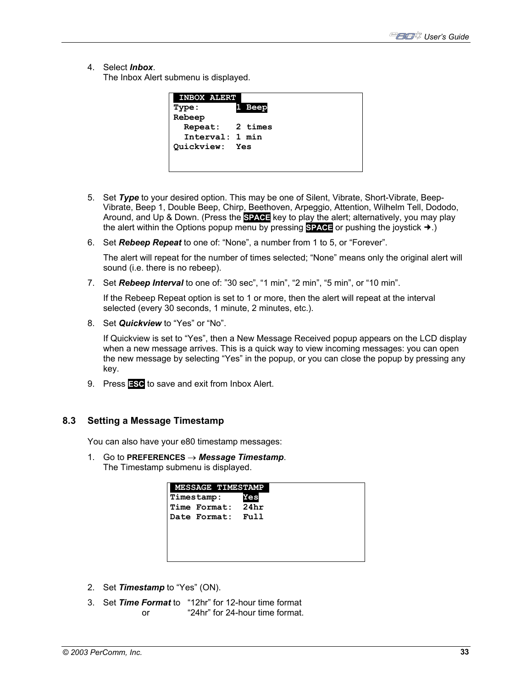4. Select *Inbox*.

The Inbox Alert submenu is displayed.

| <b>INBOX ALERT</b>    |        |
|-----------------------|--------|
| Type:                 | 1 Beep |
| Rebeep                |        |
| Repeat: 2 times       |        |
| Interval: 1 min       |        |
| <b>Quickview:</b> Yes |        |
|                       |        |
|                       |        |

- 5. Set *Type* to your desired option. This may be one of Silent, Vibrate, Short-Vibrate, Beep-Vibrate, Beep 1, Double Beep, Chirp, Beethoven, Arpeggio, Attention, Wilhelm Tell, Dododo, Around, and Up & Down. (Press the **SPACE** key to play the alert; alternatively, you may play the alert within the Options popup menu by pressing **SPACE** or pushing the joystick  $\rightarrow$ .)
- 6. Set *Rebeep Repeat* to one of: "None", a number from 1 to 5, or "Forever".

The alert will repeat for the number of times selected; "None" means only the original alert will sound (i.e. there is no rebeep).

7. Set *Rebeep Interval* to one of: "30 sec", "1 min", "2 min", "5 min", or "10 min".

If the Rebeep Repeat option is set to 1 or more, then the alert will repeat at the interval selected (every 30 seconds, 1 minute, 2 minutes, etc.).

8. Set *Quickview* to "Yes" or "No".

If Quickview is set to "Yes", then a New Message Received popup appears on the LCD display when a new message arrives. This is a quick way to view incoming messages: you can open the new message by selecting "Yes" in the popup, or you can close the popup by pressing any key.

9. Press **ESC** to save and exit from Inbox Alert.

### **8.3 Setting a Message Timestamp**

You can also have your e80 timestamp messages:

1. Go to **PREFERENCES** → *Message Timestamp*. The Timestamp submenu is displayed.

| <b>MESSAGE TIMESTAMP</b> |      |
|--------------------------|------|
| Timestamp:               | Yes  |
| Time Format: 24hr        |      |
| Date Format:             | Full |
|                          |      |
|                          |      |
|                          |      |
|                          |      |

- 2. Set *Timestamp* to "Yes" (ON).
- 3. Set *Time Format* to "12hr" for 12-hour time format or "24hr" for 24-hour time format.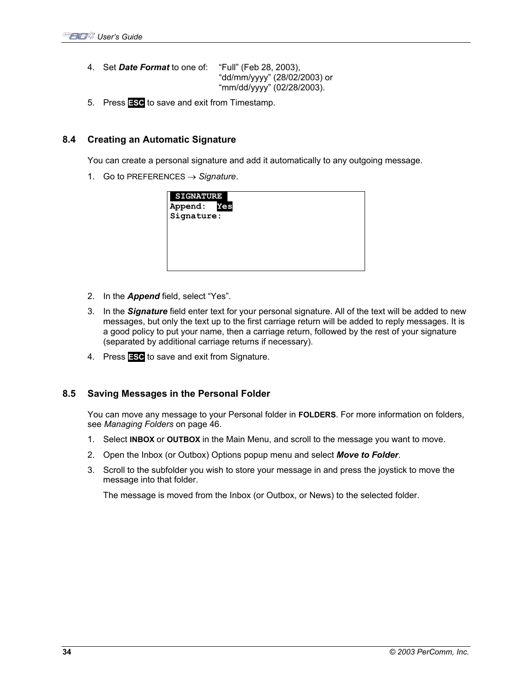- 4. Set *Date Format* to one of: "Full" (Feb 28, 2003), "dd/mm/yyyy" (28/02/2003) or "mm/dd/yyyy" (02/28/2003).
- 5. Press **ESC** to save and exit from Timestamp.

## **8.4 Creating an Automatic Signature**

You can create a personal signature and add it automatically to any outgoing message.

1. Go to PREFERENCES → *Signature*.

| <b>SIGNATURE</b> |     |  |  |
|------------------|-----|--|--|
| Append:          | Yes |  |  |
| Signature:       |     |  |  |
|                  |     |  |  |
|                  |     |  |  |
|                  |     |  |  |
|                  |     |  |  |
|                  |     |  |  |

- 2. In the *Append* field, select "Yes".
- 3. In the *Signature* field enter text for your personal signature. All of the text will be added to new messages, but only the text up to the first carriage return will be added to reply messages. It is a good policy to put your name, then a carriage return, followed by the rest of your signature (separated by additional carriage returns if necessary).
- 4. Press **ESC** to save and exit from Signature.

### **8.5 Saving Messages in the Personal Folder**

You can move any message to your Personal folder in **FOLDERS**. For more information on folders, see *Managing Folders* on page 46.

- 1. Select **INBOX** or **OUTBOX** in the Main Menu, and scroll to the message you want to move.
- 2. Open the Inbox (or Outbox) Options popup menu and select *Move to Folder*.
- 3. Scroll to the subfolder you wish to store your message in and press the joystick to move the message into that folder.

The message is moved from the Inbox (or Outbox, or News) to the selected folder.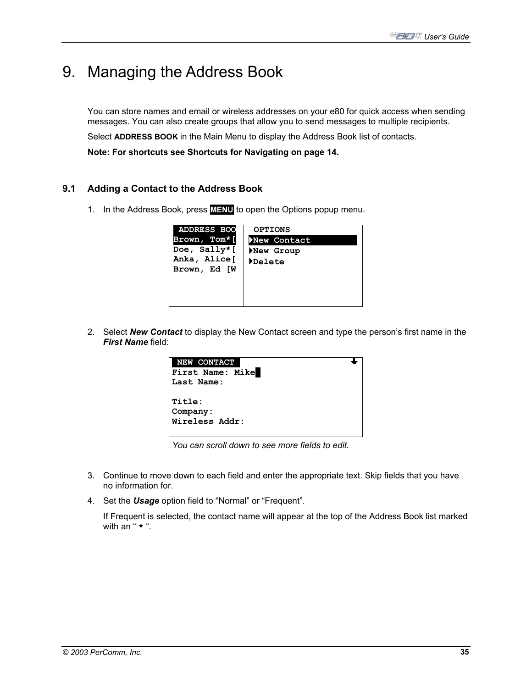## 9. Managing the Address Book

You can store names and email or wireless addresses on your e80 for quick access when sending messages. You can also create groups that allow you to send messages to multiple recipients.

Select **ADDRESS BOOK** in the Main Menu to display the Address Book list of contacts.

**Note: For shortcuts see Shortcuts for Navigating on page 14.**

## **9.1 Adding a Contact to the Address Book**

1. In the Address Book, press **MENU** to open the Options popup menu.

| <b>ADDRESS BOO</b>                                           | <b>OPTIONS</b>                     |
|--------------------------------------------------------------|------------------------------------|
| Brown, Tom*[<br>Doe, Sally*[<br>Anka, Alice[<br>Brown, Ed [W | New Contact<br>New Group<br>Delete |
|                                                              |                                    |

2. Select *New Contact* to display the New Contact screen and type the person's first name in the *First Name* field:



*You can scroll down to see more fields to edit.* 

- 3. Continue to move down to each field and enter the appropriate text. Skip fields that you have no information for.
- 4. Set the *Usage* option field to "Normal" or "Frequent".

If Frequent is selected, the contact name will appear at the top of the Address Book list marked with an " **\*** ".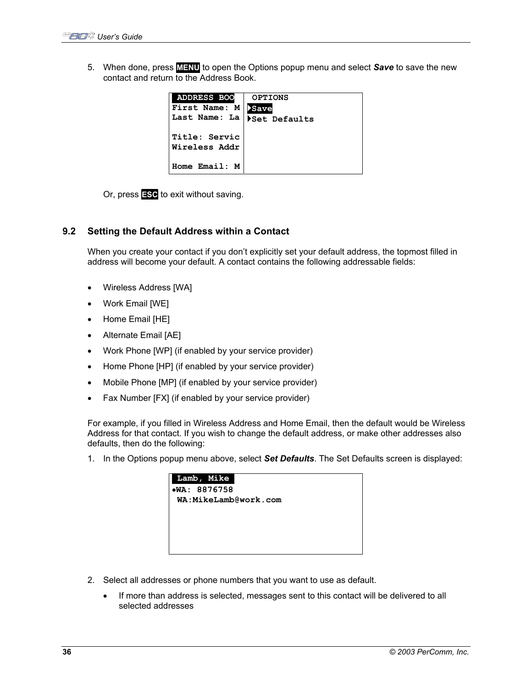5. When done, press **MENU** to open the Options popup menu and select *Save* to save the new contact and return to the Address Book.

| <b>ADDRESS BOO</b><br>First Name: M<br>Last Name: La | <b>OPTIONS</b><br><b>Save</b><br>Set Defaults |
|------------------------------------------------------|-----------------------------------------------|
| Title: Servic<br>Wireless Addr                       |                                               |
| Home Email: M                                        |                                               |

Or, press **ESC** to exit without saving.

## **9.2 Setting the Default Address within a Contact**

When you create your contact if you don't explicitly set your default address, the topmost filled in address will become your default. A contact contains the following addressable fields:

- Wireless Address [WA]
- Work Email [WE]
- Home Email [HE]
- Alternate Email [AE]
- Work Phone [WP] (if enabled by your service provider)
- Home Phone [HP] (if enabled by your service provider)
- Mobile Phone [MP] (if enabled by your service provider)
- Fax Number [FX] (if enabled by your service provider)

For example, if you filled in Wireless Address and Home Email, then the default would be Wireless Address for that contact. If you wish to change the default address, or make other addresses also defaults, then do the following:

1. In the Options popup menu above, select *Set Defaults*. The Set Defaults screen is displayed:

| Lamb, Mike           |
|----------------------|
| •WA: 8876758         |
| WA:MikeLamb@work.com |
|                      |
|                      |
|                      |
|                      |
|                      |
|                      |
|                      |

- 2. Select all addresses or phone numbers that you want to use as default.
	- If more than address is selected, messages sent to this contact will be delivered to all selected addresses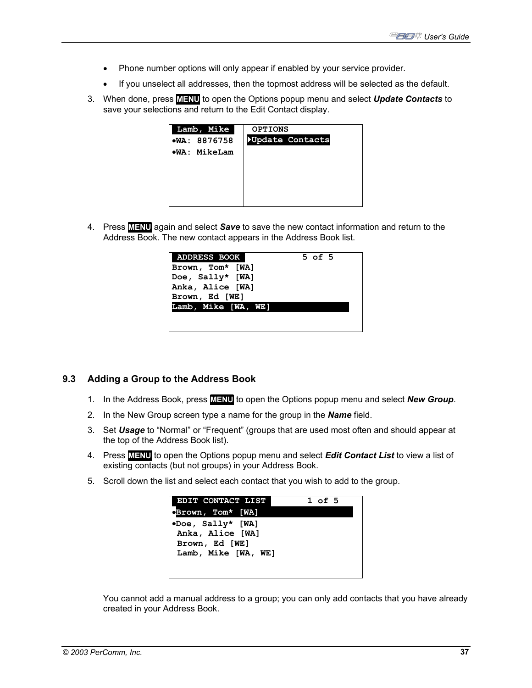- Phone number options will only appear if enabled by your service provider.
- If you unselect all addresses, then the topmost address will be selected as the default.
- 3. When done, press **MENU** to open the Options popup menu and select *Update Contacts* to save your selections and return to the Edit Contact display.

| Lamb, Mike     | <b>OPTIONS</b>  |
|----------------|-----------------|
| •WA: 8876758   | Update Contacts |
| $W$ A: MikeLam |                 |
|                |                 |
|                |                 |
|                |                 |
|                |                 |
|                |                 |

4. Press **MENU** again and select *Save* to save the new contact information and return to the Address Book. The new contact appears in the Address Book list.

| <b>ADDRESS BOOK</b> | $5$ of $5$ |
|---------------------|------------|
| Brown, Tom* [WA]    |            |
| Doe, Sally* [WA]    |            |
| Anka, Alice [WA]    |            |
| Brown, Ed [WE]      |            |
| Lamb, Mike [WA, WE] |            |
|                     |            |
|                     |            |

### **9.3 Adding a Group to the Address Book**

- 1. In the Address Book, press **MENU** to open the Options popup menu and select *New Group*.
- 2. In the New Group screen type a name for the group in the *Name* field.
- 3. Set *Usage* to "Normal" or "Frequent" (groups that are used most often and should appear at the top of the Address Book list).
- 4. Press **MENU** to open the Options popup menu and select *Edit Contact List* to view a list of existing contacts (but not groups) in your Address Book.
- 5. Scroll down the list and select each contact that you wish to add to the group.



You cannot add a manual address to a group; you can only add contacts that you have already created in your Address Book.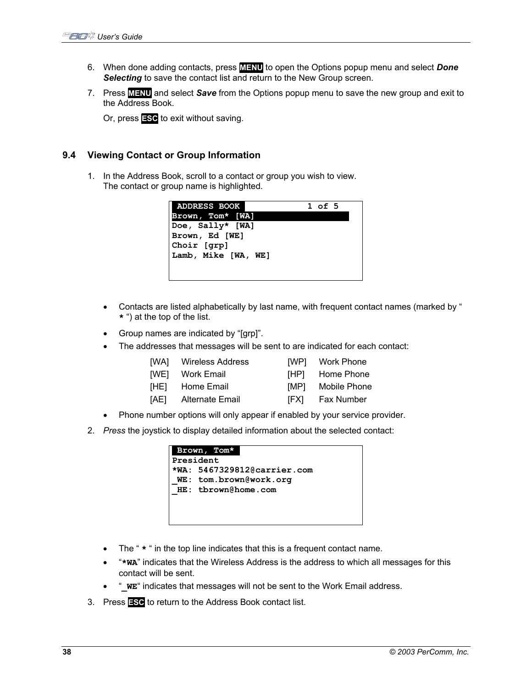- 6. When done adding contacts, press **MENU** to open the Options popup menu and select *Done*  **Selecting** to save the contact list and return to the New Group screen.
- 7. Press **MENU** and select *Save* from the Options popup menu to save the new group and exit to the Address Book.

Or, press **ESC** to exit without saving.

## **9.4 Viewing Contact or Group Information**

1. In the Address Book, scroll to a contact or group you wish to view. The contact or group name is highlighted.

| <b>ADDRESS BOOK</b> | 1 of 5 |  |
|---------------------|--------|--|
| Brown, Tom* [WA]    |        |  |
| Doe, Sally* [WA]    |        |  |
| Brown, Ed [WE]      |        |  |
| Choir [qrp]         |        |  |
| Lamb, Mike [WA, WE] |        |  |
|                     |        |  |
|                     |        |  |

- Contacts are listed alphabetically by last name, with frequent contact names (marked by " **\*** ") at the top of the list.
- Group names are indicated by "[grp]".
- The addresses that messages will be sent to are indicated for each contact:
	- [WA] Wireless Address [WP] Work Phone
		-
	-
	- [WE] Work Email [HP] Home Phone
	- [HE] Home Email [MP] Mobile Phone
	- [AE] Alternate Email [FX] Fax Number
		-
- Phone number options will only appear if enabled by your service provider.
- 2. *Press* the joystick to display detailed information about the selected contact:

| Brown, Tom*                 |
|-----------------------------|
| President                   |
| *WA: 5467329812@carrier.com |
| WE: tom.brown@work.org      |
| HE: tbrown@home.com         |
|                             |
|                             |
|                             |

- The "  $\star$  " in the top line indicates that this is a frequent contact name.
- "**\*WA**" indicates that the Wireless Address is the address to which all messages for this contact will be sent.
- "**\_WE**" indicates that messages will not be sent to the Work Email address.
- 3. Press **ESC** to return to the Address Book contact list.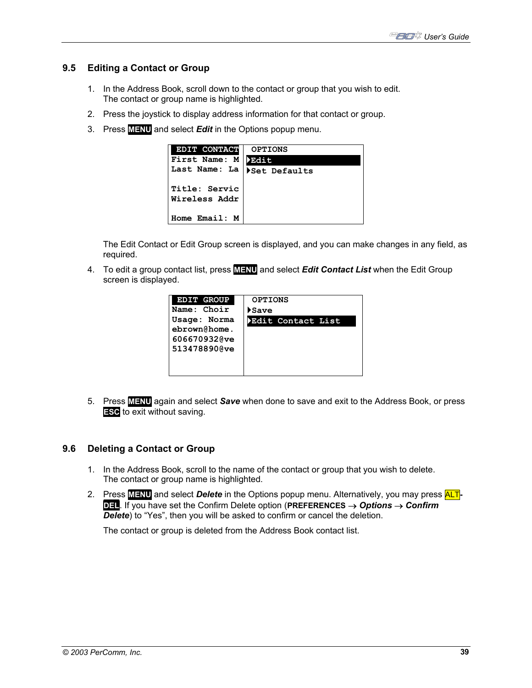## **9.5 Editing a Contact or Group**

- 1. In the Address Book, scroll down to the contact or group that you wish to edit. The contact or group name is highlighted.
- 2. Press the joystick to display address information for that contact or group.
- 3. Press **MENU** and select *Edit* in the Options popup menu.

| <b>EDIT CONTACT</b>            | <b>OPTIONS</b>  |
|--------------------------------|-----------------|
| First Name: M                  | <b>&gt;Edit</b> |
| Last Name: La                  | Set Defaults    |
| Title: Servic<br>Wireless Addr |                 |
| Home Email: M                  |                 |

The Edit Contact or Edit Group screen is displayed, and you can make changes in any field, as required.

4. To edit a group contact list, press **MENU** and select *Edit Contact List* when the Edit Group screen is displayed.

| <b>EDIT GROUP</b> | <b>OPTIONS</b>    |
|-------------------|-------------------|
| Name: Choir       | ▶Save             |
| Usage: Norma      | Edit Contact List |
| ebrown@home.      |                   |
| 606670932@ve      |                   |
| 513478890@ve      |                   |
|                   |                   |
|                   |                   |

5. Press **MENU** again and select *Save* when done to save and exit to the Address Book, or press **ESC** to exit without saving.

### **9.6 Deleting a Contact or Group**

- 1. In the Address Book, scroll to the name of the contact or group that you wish to delete. The contact or group name is highlighted.
- 2. Press **MENU** and select *Delete* in the Options popup menu. Alternatively, you may press ALT**-DEL**. If you have set the Confirm Delete option (**PREFERENCES** → *Options* → *Confirm Delete*) to "Yes", then you will be asked to confirm or cancel the deletion.

The contact or group is deleted from the Address Book contact list.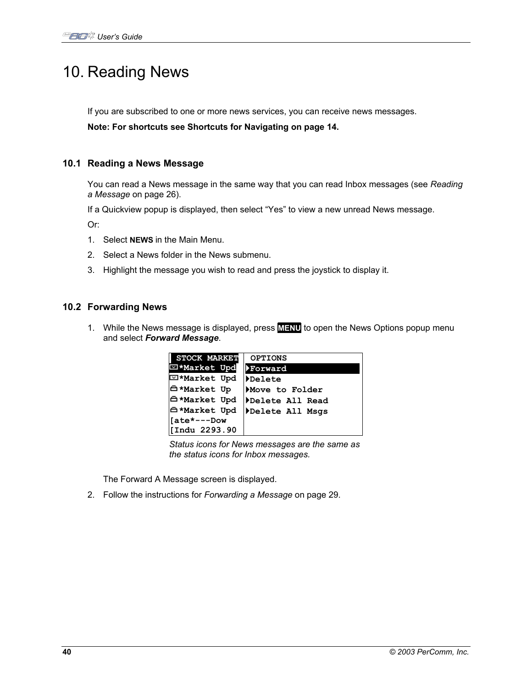## 10. Reading News

If you are subscribed to one or more news services, you can receive news messages.

**Note: For shortcuts see Shortcuts for Navigating on page 14.**

## **10.1 Reading a News Message**

You can read a News message in the same way that you can read Inbox messages (see *Reading a Message* on page 26).

If a Quickview popup is displayed, then select "Yes" to view a new unread News message.

Or:

- 1. Select **NEWS** in the Main Menu.
- 2. Select a News folder in the News submenu.
- 3. Highlight the message you wish to read and press the joystick to display it.

## **10.2 Forwarding News**

1. While the News message is displayed, press **MENU** to open the News Options popup menu and select *Forward Message*.

| <b>STOCK MARKET</b> | <b>OPTIONS</b>  |
|---------------------|-----------------|
| □*Market Upd        | Forward         |
| ⊡*Market Upd        | Delete          |
| <b>A*Market Up</b>  | Move to Folder  |
| <b>白*Market Upd</b> | Delete All Read |
| <b>A*Market Upd</b> | Delete All Msgs |
| [ate*---Dow         |                 |
| Indu 2293.90        |                 |

*Status icons for News messages are the same as the status icons for Inbox messages.* 

The Forward A Message screen is displayed.

2. Follow the instructions for *Forwarding a Message* on page 29.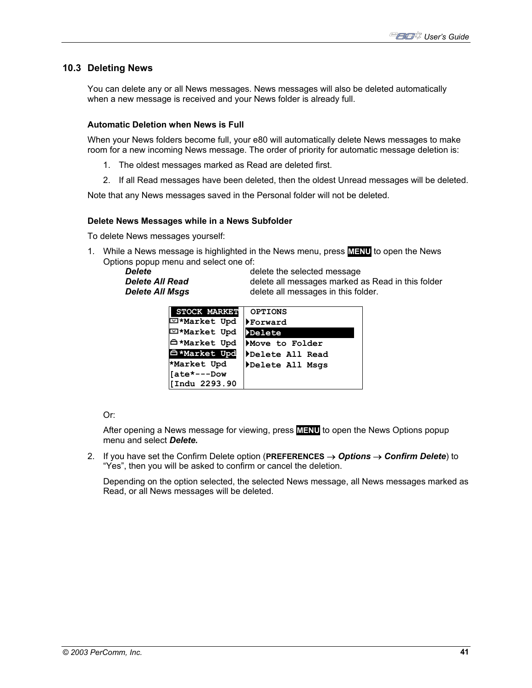## **10.3 Deleting News**

You can delete any or all News messages. News messages will also be deleted automatically when a new message is received and your News folder is already full.

### **Automatic Deletion when News is Full**

When your News folders become full, your e80 will automatically delete News messages to make room for a new incoming News message. The order of priority for automatic message deletion is:

- 1. The oldest messages marked as Read are deleted first.
- 2. If all Read messages have been deleted, then the oldest Unread messages will be deleted.

Note that any News messages saved in the Personal folder will not be deleted.

### **Delete News Messages while in a News Subfolder**

To delete News messages yourself:

1. While a News message is highlighted in the News menu, press **MENU** to open the News Options popup menu and select one of:

**Delete Delete delete** the selected message **Delete All Read delete all messages marked as Read in this folder Delete All Msgs delete all messages in this folder.** 

| <b>STOCK MARKET</b>      | <b>OPTIONS</b>  |
|--------------------------|-----------------|
| ⊡*Market Upd             | Forward         |
| E *Market Upd            | Delete          |
| <b>A*Market Upd</b>      | Move to Folder  |
| <sup>△</sup> *Market Upd | Delete All Read |
| *Market Upd              | Delete All Msgs |
| [ate*---Dow              |                 |
| [Indu 2293.90            |                 |

Or:

After opening a News message for viewing, press **MENU** to open the News Options popup menu and select *Delete.*

2. If you have set the Confirm Delete option (**PREFERENCES** → *Options* → *Confirm Delete*) to "Yes", then you will be asked to confirm or cancel the deletion.

Depending on the option selected, the selected News message, all News messages marked as Read, or all News messages will be deleted.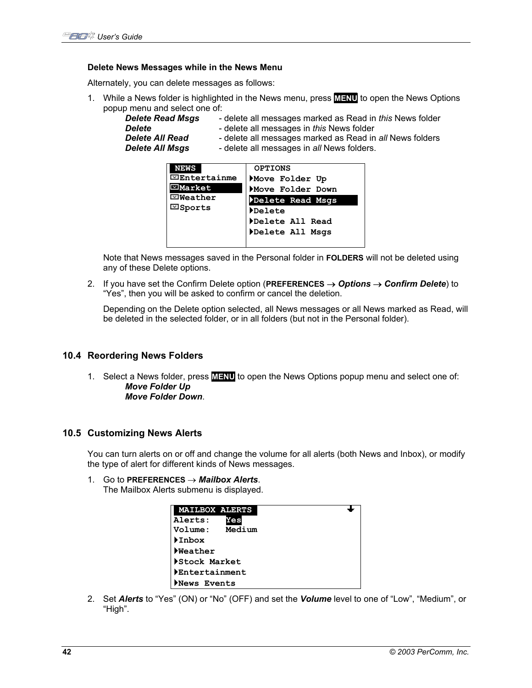#### **Delete News Messages while in the News Menu**

Alternately, you can delete messages as follows:

1. While a News folder is highlighted in the News menu, press **MENU** to open the News Options popup menu and select one of:

| - delete all messages marked as Read in this News folder<br>- delete all messages in this News folder<br>- delete all messages marked as Read in all News folders<br>- delete all messages in all News folders. |
|-----------------------------------------------------------------------------------------------------------------------------------------------------------------------------------------------------------------|
|                                                                                                                                                                                                                 |
|                                                                                                                                                                                                                 |

| <b>NEWS</b>       | <b>OPTIONS</b>   |
|-------------------|------------------|
| $\Xi$ Entertainme | Move Folder Up   |
| $\boxdot$ Market  | Move Folder Down |
| ⊡Weather          | Delete Read Msgs |
| ⊡Sports           | <b>Delete</b>    |
|                   | Delete All Read  |
|                   | Delete All Msgs  |
|                   |                  |

Note that News messages saved in the Personal folder in **FOLDERS** will not be deleted using any of these Delete options.

2. If you have set the Confirm Delete option (**PREFERENCES** → *Options* → *Confirm Delete*) to "Yes", then you will be asked to confirm or cancel the deletion.

Depending on the Delete option selected, all News messages or all News marked as Read, will be deleted in the selected folder, or in all folders (but not in the Personal folder).

### **10.4 Reordering News Folders**

1. Select a News folder, press **MENU** to open the News Options popup menu and select one of: *Move Folder Up Move Folder Down*.

### **10.5 Customizing News Alerts**

You can turn alerts on or off and change the volume for all alerts (both News and Inbox), or modify the type of alert for different kinds of News messages.

#### 1. Go to **PREFERENCES** → *Mailbox Alerts*.

The Mailbox Alerts submenu is displayed.

| <b>MAILBOX ALERTS</b> |  |
|-----------------------|--|
| Alerts:<br>Yes        |  |
| Volume: Medium        |  |
| <b>Inbox</b>          |  |
| <b>Neather</b>        |  |
| Stock Market          |  |
| Entertainment         |  |
| News Events           |  |

2. Set *Alerts* to "Yes" (ON) or "No" (OFF) and set the *Volume* level to one of "Low", "Medium", or "High".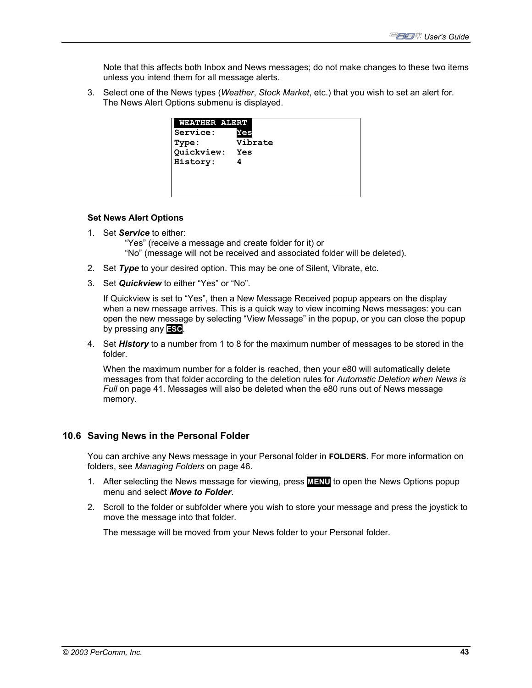Note that this affects both Inbox and News messages; do not make changes to these two items unless you intend them for all message alerts.

3. Select one of the News types (*Weather*, *Stock Market*, etc.) that you wish to set an alert for. The News Alert Options submenu is displayed.

| WEATHER ALERT |         |
|---------------|---------|
| Service:      | Yes     |
| Type:         | Vibrate |
| Quickview:    | Yes     |
| History:      |         |
|               |         |
|               |         |
|               |         |

#### **Set News Alert Options**

1. Set *Service* to either:

 "Yes" (receive a message and create folder for it) or "No" (message will not be received and associated folder will be deleted).

- 2. Set *Type* to your desired option. This may be one of Silent, Vibrate, etc.
- 3. Set *Quickview* to either "Yes" or "No".

If Quickview is set to "Yes", then a New Message Received popup appears on the display when a new message arrives. This is a quick way to view incoming News messages: you can open the new message by selecting "View Message" in the popup, or you can close the popup by pressing any **ESC**.

4. Set *History* to a number from 1 to 8 for the maximum number of messages to be stored in the folder.

When the maximum number for a folder is reached, then your e80 will automatically delete messages from that folder according to the deletion rules for *Automatic Deletion when News is Full* on page 41. Messages will also be deleted when the e80 runs out of News message memory.

### **10.6 Saving News in the Personal Folder**

You can archive any News message in your Personal folder in **FOLDERS**. For more information on folders, see *Managing Folders* on page 46.

- 1. After selecting the News message for viewing, press **MENU** to open the News Options popup menu and select *Move to Folder*.
- 2. Scroll to the folder or subfolder where you wish to store your message and press the joystick to move the message into that folder.

The message will be moved from your News folder to your Personal folder.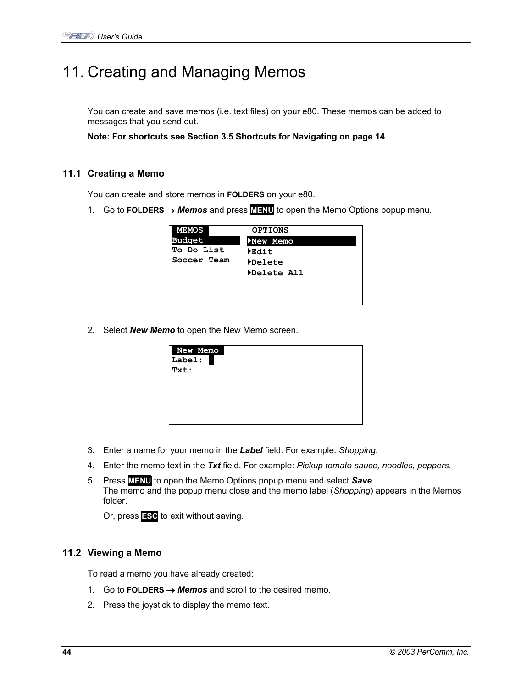# 11. Creating and Managing Memos

You can create and save memos (i.e. text files) on your e80. These memos can be added to messages that you send out.

**Note: For shortcuts see Section 3.5 Shortcuts for Navigating on page 14** 

### **11.1 Creating a Memo**

You can create and store memos in **FOLDERS** on your e80.

1. Go to **FOLDERS** → *Memos* and press **MENU** to open the Memo Options popup menu.

| <b>MEMOS</b>  | <b>OPTIONS</b>             |
|---------------|----------------------------|
| <b>Budget</b> | New Memo                   |
| To Do List    | $\blacktriangleright$ Edit |
| Soccer Team   | Delete                     |
|               | Delete All                 |
|               |                            |
|               |                            |
|               |                            |

2. Select *New Memo* to open the New Memo screen.

| New Memo<br>Label:<br>Txt: |  |  |
|----------------------------|--|--|
|                            |  |  |

- 3. Enter a name for your memo in the *Label* field. For example: *Shopping*.
- 4. Enter the memo text in the *Txt* field. For example: *Pickup tomato sauce, noodles, peppers*.
- 5. Press **MENU** to open the Memo Options popup menu and select *Save*. The memo and the popup menu close and the memo label (*Shopping*) appears in the Memos folder.

Or, press **ESC** to exit without saving.

### **11.2 Viewing a Memo**

To read a memo you have already created:

- 1. Go to **FOLDERS** → *Memos* and scroll to the desired memo.
- 2. Press the joystick to display the memo text.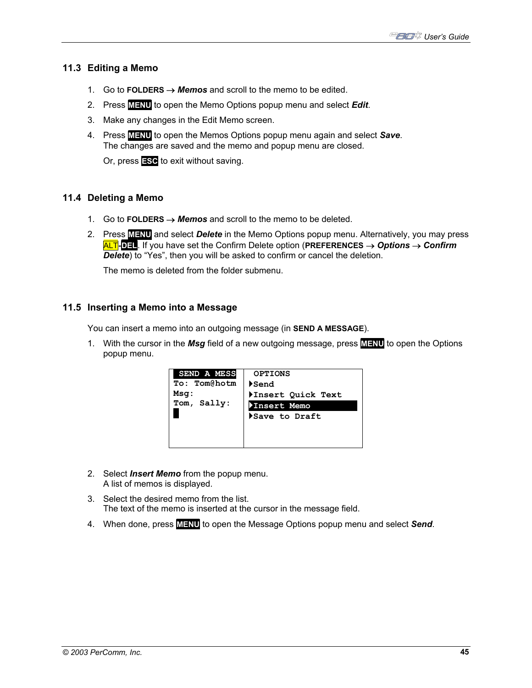## **11.3 Editing a Memo**

- 1. Go to **FOLDERS** → *Memos* and scroll to the memo to be edited.
- 2. Press **MENU** to open the Memo Options popup menu and select *Edit*.
- 3. Make any changes in the Edit Memo screen.
- 4. Press **MENU** to open the Memos Options popup menu again and select *Save*. The changes are saved and the memo and popup menu are closed.

Or, press **ESC** to exit without saving.

## **11.4 Deleting a Memo**

- 1. Go to **FOLDERS** → *Memos* and scroll to the memo to be deleted.
- 2. Press **MENU** and select *Delete* in the Memo Options popup menu. Alternatively, you may press ALT**-DEL**. If you have set the Confirm Delete option (**PREFERENCES** → *Options* → *Confirm Delete*) to "Yes", then you will be asked to confirm or cancel the deletion.

The memo is deleted from the folder submenu.

## **11.5 Inserting a Memo into a Message**

You can insert a memo into an outgoing message (in **SEND A MESSAGE**).

1. With the cursor in the *Msg* field of a new outgoing message, press **MENU** to open the Options popup menu.

| SEND A MESS  | <b>OPTIONS</b>    |
|--------------|-------------------|
| To: Tom@hotm | Send              |
| Msq:         | Insert Quick Text |
| Tom, Sally:  | Insert Memo       |
|              | Save to Draft     |
|              |                   |
|              |                   |
|              |                   |

- 2. Select *Insert Memo* from the popup menu. A list of memos is displayed.
- 3. Select the desired memo from the list. The text of the memo is inserted at the cursor in the message field.
- 4. When done, press **MENU** to open the Message Options popup menu and select *Send*.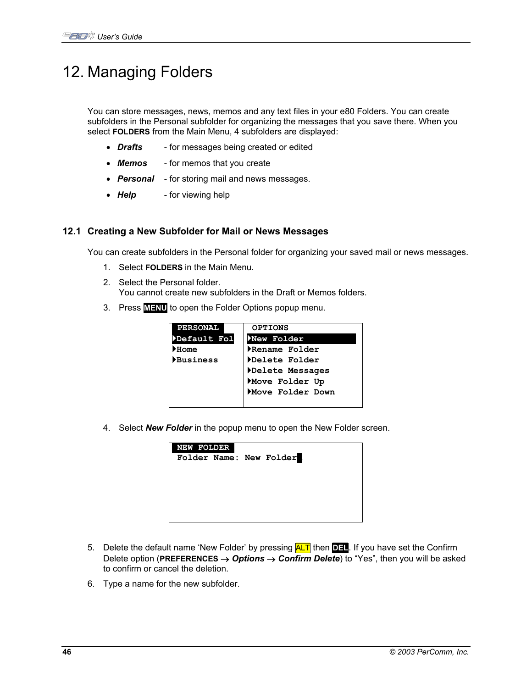# 12. Managing Folders

You can store messages, news, memos and any text files in your e80 Folders. You can create subfolders in the Personal subfolder for organizing the messages that you save there. When you select **FOLDERS** from the Main Menu, 4 subfolders are displayed:

- **Drafts** for messages being created or edited
- *Memos*  for memos that you create
- *Personal* for storing mail and news messages.
- **Help** for viewing help

## **12.1 Creating a New Subfolder for Mail or News Messages**

You can create subfolders in the Personal folder for organizing your saved mail or news messages.

- 1. Select **FOLDERS** in the Main Menu.
- 2. Select the Personal folder. You cannot create new subfolders in the Draft or Memos folders.
- 3. Press **MENU** to open the Folder Options popup menu.

| <b>PERSONAL</b> | <b>OPTIONS</b>   |
|-----------------|------------------|
| Default Fol     | New Folder       |
| Home            | Rename Folder    |
| <b>Business</b> | Delete Folder    |
|                 | Delete Messages  |
|                 | Move Folder Up   |
|                 | Move Folder Down |
|                 |                  |

4. Select *New Folder* in the popup menu to open the New Folder screen.

| <b>NEW FOLDER</b> |  | Folder Name: New Folder |  |
|-------------------|--|-------------------------|--|
|                   |  |                         |  |
|                   |  |                         |  |

- 5. Delete the default name 'New Folder' by pressing ALT then **DEL**. If you have set the Confirm Delete option (**PREFERENCES** → *Options* → *Confirm Delete*) to "Yes", then you will be asked to confirm or cancel the deletion.
- 6. Type a name for the new subfolder.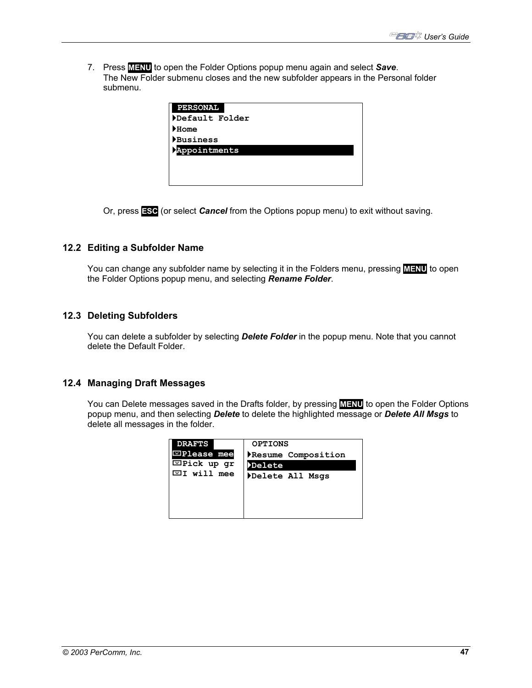7. Press **MENU** to open the Folder Options popup menu again and select *Save*. The New Folder submenu closes and the new subfolder appears in the Personal folder submenu.

| <b>PERSONAL</b> |
|-----------------|
| Default Folder  |
| Home            |
| Business        |
| Appointments    |
|                 |
|                 |
|                 |

Or, press **ESC** (or select *Cancel* from the Options popup menu) to exit without saving.

### **12.2 Editing a Subfolder Name**

You can change any subfolder name by selecting it in the Folders menu, pressing **MENU** to open the Folder Options popup menu, and selecting *Rename Folder*.

## **12.3 Deleting Subfolders**

You can delete a subfolder by selecting *Delete Folder* in the popup menu. Note that you cannot delete the Default Folder.

### **12.4 Managing Draft Messages**

You can Delete messages saved in the Drafts folder, by pressing **MENU** to open the Folder Options popup menu, and then selecting *Delete* to delete the highlighted message or *Delete All Msgs* to delete all messages in the folder.

| <b>DRAFTS</b>        | <b>OPTIONS</b>     |
|----------------------|--------------------|
| $\Xi$ Please mee     | Resume Composition |
| $\Xi$ Pick up gr     | <b>Delete</b>      |
| $\boxdot$ I will mee | Delete All Msgs    |
|                      |                    |
|                      |                    |
|                      |                    |
|                      |                    |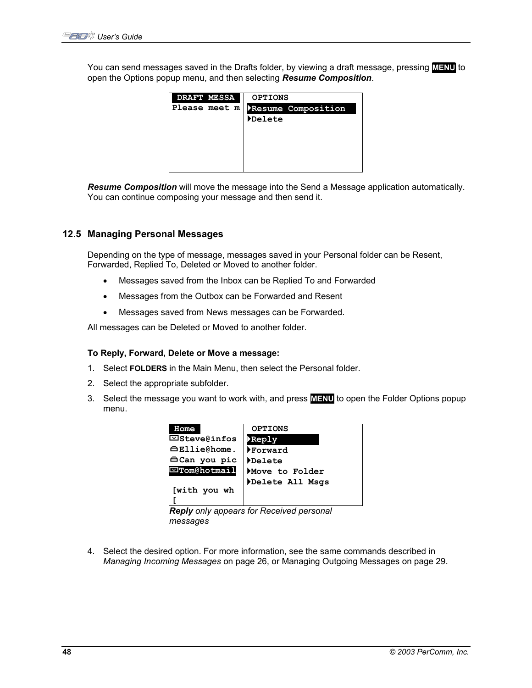You can send messages saved in the Drafts folder, by viewing a draft message, pressing **MENU** to open the Options popup menu, and then selecting *Resume Composition*.

| <b>DRAFT MESSA</b> | <b>OPTIONS</b>     |
|--------------------|--------------------|
| Please meet m      | Resume Composition |
|                    | <i>Delete</i>      |
|                    |                    |
|                    |                    |
|                    |                    |
|                    |                    |
|                    |                    |

*Resume Composition* will move the message into the Send a Message application automatically. You can continue composing your message and then send it.

## **12.5 Managing Personal Messages**

Depending on the type of message, messages saved in your Personal folder can be Resent, Forwarded, Replied To, Deleted or Moved to another folder.

- Messages saved from the Inbox can be Replied To and Forwarded
- Messages from the Outbox can be Forwarded and Resent
- Messages saved from News messages can be Forwarded.

All messages can be Deleted or Moved to another folder.

#### **To Reply, Forward, Delete or Move a message:**

- 1. Select **FOLDERS** in the Main Menu, then select the Personal folder.
- 2. Select the appropriate subfolder.
- 3. Select the message you want to work with, and press **MENU** to open the Folder Options popup menu.

| <b>Home</b>         | <b>OPTIONS</b>  |
|---------------------|-----------------|
| $\Box$ Steve@infos  | <b>Replv</b>    |
| <b>∆ Ellie@home</b> | Forward         |
| ⊟Can you pic        | Delete          |
| ⊡Tom@hotmail        | Move to Folder  |
| [with you wh        | Delete All Msgs |
|                     |                 |

*Reply only appears for Received personal messages* 

4. Select the desired option. For more information, see the same commands described in *Managing Incoming Messages* on page 26, or Managing Outgoing Messages on page 29.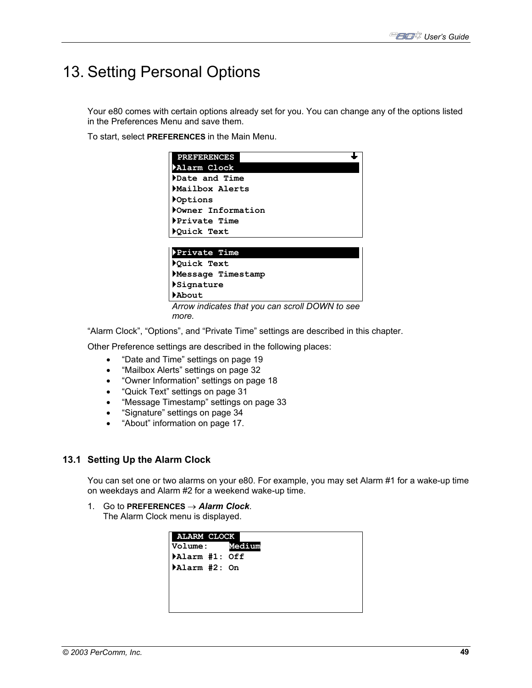# 13. Setting Personal Options

Your e80 comes with certain options already set for you. You can change any of the options listed in the Preferences Menu and save them.

To start, select **PREFERENCES** in the Main Menu.

| <b>PREFERENCES</b> |  |
|--------------------|--|
| Alarm Clock        |  |
| Date and Time      |  |
| Mailbox Alerts     |  |
| <b>POptions</b>    |  |
| Owner Information  |  |
| Private Time       |  |
| ▶Quick Text        |  |
|                    |  |
| Private Time       |  |
| Quick Text         |  |
| Message Timestamp  |  |
| ▶Signature         |  |

`**About**  *Arrow indicates that you can scroll DOWN to see more.* 

"Alarm Clock", "Options", and "Private Time" settings are described in this chapter.

Other Preference settings are described in the following places:

- "Date and Time" settings on page 19
- "Mailbox Alerts" settings on page 32
- "Owner Information" settings on page 18
- "Quick Text" settings on page 31
- "Message Timestamp" settings on page 33
- "Signature" settings on page 34
- "About" information on page 17.

### **13.1 Setting Up the Alarm Clock**

You can set one or two alarms on your e80. For example, you may set Alarm #1 for a wake-up time on weekdays and Alarm #2 for a weekend wake-up time.

1. Go to **PREFERENCES** → *Alarm Clock*. The Alarm Clock menu is displayed.

| <b>ALARM CLOCK</b><br><b>Volume:</b> | Medium |  |
|--------------------------------------|--------|--|
| Alarm #1: Off                        |        |  |
| Alarm #2: On                         |        |  |
|                                      |        |  |
|                                      |        |  |
|                                      |        |  |
|                                      |        |  |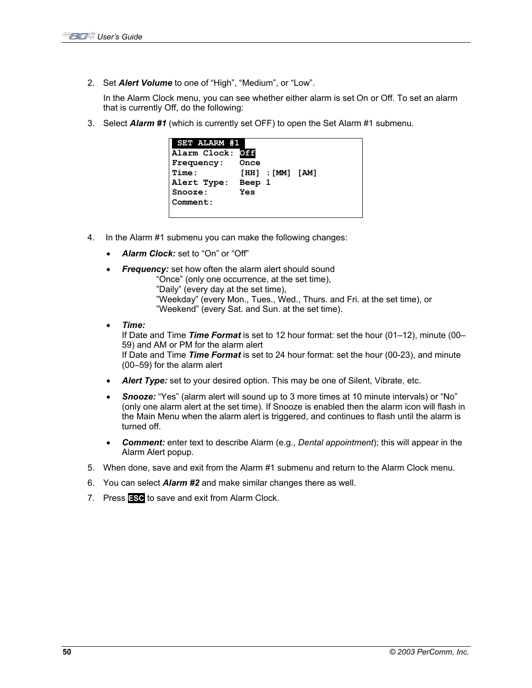2. Set *Alert Volume* to one of "High", "Medium", or "Low".

In the Alarm Clock menu, you can see whether either alarm is set On or Off. To set an alarm that is currently Off, do the following:

3. Select *Alarm #1* (which is currently set OFF) to open the Set Alarm #1 submenu.

| <b>SET ALARM #1</b> |        |                        |  |
|---------------------|--------|------------------------|--|
| Alarm Clock:        | Off    |                        |  |
| <b>Frequency:</b>   | Once   |                        |  |
| Time:               |        | $[HH]$ : $[MM]$ $[AM]$ |  |
| Alert Type:         | Beep 1 |                        |  |
| Snooze:             | Yes    |                        |  |
| Comment:            |        |                        |  |
|                     |        |                        |  |

- 4. In the Alarm #1 submenu you can make the following changes:
	- Alarm Clock: set to "On" or "Off"
	- **Frequency:** set how often the alarm alert should sound
		- "Once" (only one occurrence, at the set time),
		- "Daily" (every day at the set time),
		- "Weekday" (every Mon., Tues., Wed., Thurs. and Fri. at the set time), or "Weekend" (every Sat. and Sun. at the set time).
	- *Time:*

If Date and Time *Time Format* is set to 12 hour format: set the hour (01–12), minute (00– 59) and AM or PM for the alarm alert If Date and Time *Time Format* is set to 24 hour format: set the hour (00-23), and minute (00–59) for the alarm alert

- **Alert Type:** set to your desired option. This may be one of Silent, Vibrate, etc.
- *Snooze:* "Yes" (alarm alert will sound up to 3 more times at 10 minute intervals) or "No" (only one alarm alert at the set time). If Snooze is enabled then the alarm icon will flash in the Main Menu when the alarm alert is triggered, and continues to flash until the alarm is turned off.
- *Comment:* enter text to describe Alarm (e.g., *Dental appointment*); this will appear in the Alarm Alert popup.
- 5. When done, save and exit from the Alarm #1 submenu and return to the Alarm Clock menu.
- 6. You can select *Alarm #2* and make similar changes there as well.
- 7. Press **ESC** to save and exit from Alarm Clock.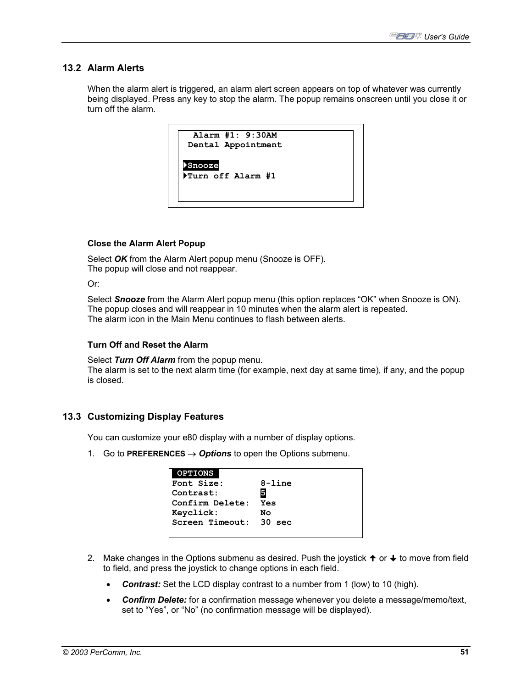## **13.2 Alarm Alerts**

When the alarm alert is triggered, an alarm alert screen appears on top of whatever was currently being displayed. Press any key to stop the alarm. The popup remains onscreen until you close it or turn off the alarm.



## **Close the Alarm Alert Popup**

Select *OK* from the Alarm Alert popup menu (Snooze is OFF). The popup will close and not reappear.

Or:

Select *Snooze* from the Alarm Alert popup menu (this option replaces "OK" when Snooze is ON). The popup closes and will reappear in 10 minutes when the alarm alert is repeated. The alarm icon in the Main Menu continues to flash between alerts.

### **Turn Off and Reset the Alarm**

Select *Turn Off Alarm* from the popup menu.

The alarm is set to the next alarm time (for example, next day at same time), if any, and the popup is closed.

### **13.3 Customizing Display Features**

You can customize your e80 display with a number of display options.

1. Go to **PREFERENCES** → *Options* to open the Options submenu.

| <b>OPTIONS</b>         |            |
|------------------------|------------|
| <b>Font Size:</b>      | $8 - line$ |
| Contrast:              |            |
| Confirm Delete:        | Yes        |
| Keyclick:              | Nο         |
| Screen Timeout: 30 sec |            |
|                        |            |

- 2. Make changes in the Options submenu as desired. Push the joystick  $\uparrow$  or  $\downarrow$  to move from field to field, and press the joystick to change options in each field.
	- **Contrast:** Set the LCD display contrast to a number from 1 (low) to 10 (high).
	- *Confirm Delete:* for a confirmation message whenever you delete a message/memo/text, set to "Yes", or "No" (no confirmation message will be displayed).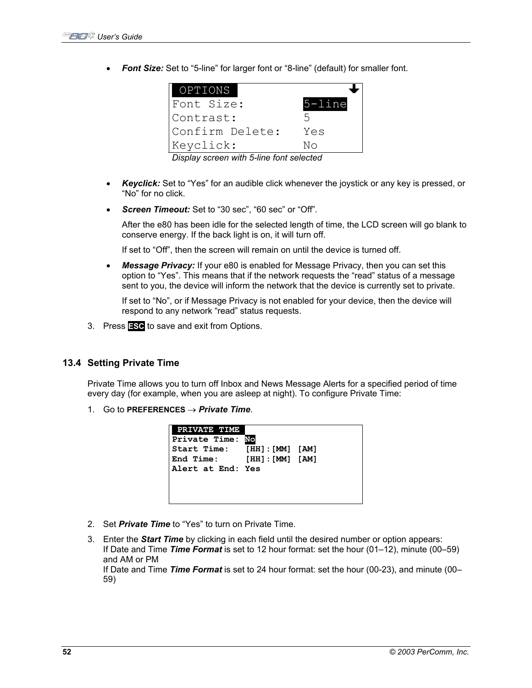• **Font Size:** Set to "5-line" for larger font or "8-line" (default) for smaller font.

| OPTIONS         |            |
|-----------------|------------|
| Font Size:      | $5 - line$ |
| Contrast:       | ∽          |
| Confirm Delete: | Yes        |
| Keyclick:       | NΩ         |

*Display screen with 5-line font selected* 

- *Keyclick:* Set to "Yes" for an audible click whenever the joystick or any key is pressed, or "No" for no click.
- **Screen Timeout:** Set to "30 sec", "60 sec" or "Off".

After the e80 has been idle for the selected length of time, the LCD screen will go blank to conserve energy. If the back light is on, it will turn off.

If set to "Off", then the screen will remain on until the device is turned off.

• *Message Privacy:* If your e80 is enabled for Message Privacy, then you can set this option to "Yes". This means that if the network requests the "read" status of a message sent to you, the device will inform the network that the device is currently set to private.

If set to "No", or if Message Privacy is not enabled for your device, then the device will respond to any network "read" status requests.

3. Press **ESC** to save and exit from Options.

## **13.4 Setting Private Time**

Private Time allows you to turn off Inbox and News Message Alerts for a specified period of time every day (for example, when you are asleep at night). To configure Private Time:

1. Go to **PREFERENCES** → *Private Time*.

| <b>End Time:</b><br>[HH]: [MM] [AM]<br>Alert at End: Yes | PRIVATE TIME<br>Private Time: No<br>Start Time: [HH]: [MM] [AM] |  |  |  |
|----------------------------------------------------------|-----------------------------------------------------------------|--|--|--|
|----------------------------------------------------------|-----------------------------------------------------------------|--|--|--|

- 2. Set *Private Time* to "Yes" to turn on Private Time.
- 3. Enter the *Start Time* by clicking in each field until the desired number or option appears: If Date and Time *Time Format* is set to 12 hour format: set the hour (01–12), minute (00–59) and AM or PM If Date and Time *Time Format* is set to 24 hour format: set the hour (00-23), and minute (00– 59)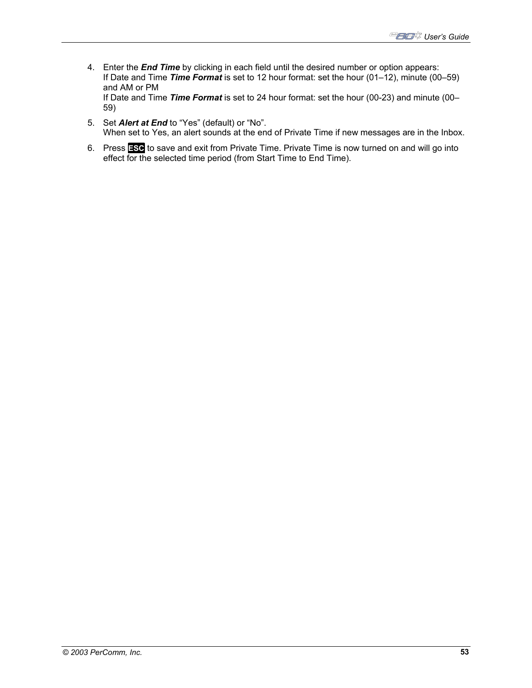- 4. Enter the *End Time* by clicking in each field until the desired number or option appears: If Date and Time *Time Format* is set to 12 hour format: set the hour (01–12), minute (00–59) and AM or PM If Date and Time *Time Format* is set to 24 hour format: set the hour (00-23) and minute (00– 59)
- 5. Set *Alert at End* to "Yes" (default) or "No". When set to Yes, an alert sounds at the end of Private Time if new messages are in the Inbox.
- 6. Press **ESC** to save and exit from Private Time. Private Time is now turned on and will go into effect for the selected time period (from Start Time to End Time).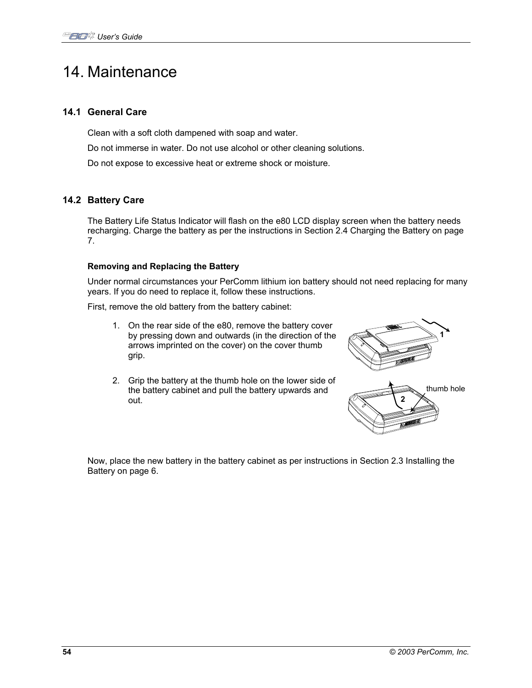## 14. Maintenance

## **14.1 General Care**

Clean with a soft cloth dampened with soap and water.

Do not immerse in water. Do not use alcohol or other cleaning solutions.

Do not expose to excessive heat or extreme shock or moisture.

## **14.2 Battery Care**

The Battery Life Status Indicator will flash on the e80 LCD display screen when the battery needs recharging. Charge the battery as per the instructions in Section 2.4 Charging the Battery on page 7.

## **Removing and Replacing the Battery**

Under normal circumstances your PerComm lithium ion battery should not need replacing for many years. If you do need to replace it, follow these instructions.

First, remove the old battery from the battery cabinet:

- 1. On the rear side of the e80, remove the battery cover by pressing down and outwards (in the direction of the arrows imprinted on the cover) on the cover thumb grip.
- 2. Grip the battery at the thumb hole on the lower side of the battery cabinet and pull the battery upwards and out.





Now, place the new battery in the battery cabinet as per instructions in Section 2.3 Installing the Battery on page 6.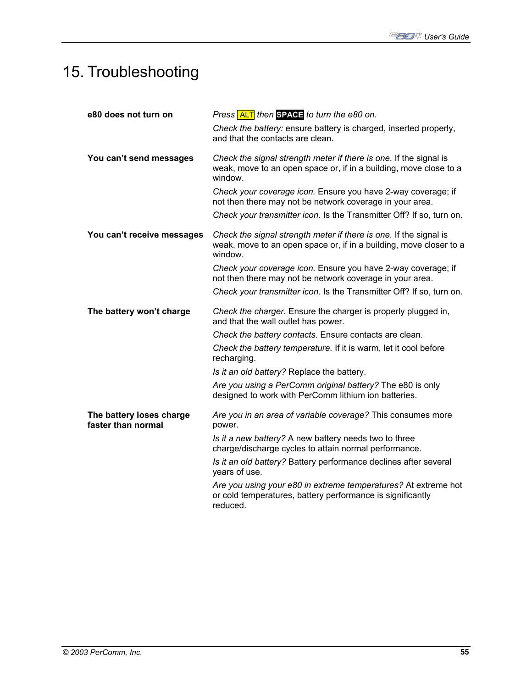# 15. Troubleshooting

| e80 does not turn on                           | Press ALT then SPACE to turn the e80 on.                                                                                                           |
|------------------------------------------------|----------------------------------------------------------------------------------------------------------------------------------------------------|
|                                                | Check the battery: ensure battery is charged, inserted properly,<br>and that the contacts are clean.                                               |
| You can't send messages                        | Check the signal strength meter if there is one. If the signal is<br>weak, move to an open space or, if in a building, move close to a<br>window.  |
|                                                | Check your coverage icon. Ensure you have 2-way coverage; if<br>not then there may not be network coverage in your area.                           |
|                                                | Check your transmitter icon. Is the Transmitter Off? If so, turn on.                                                                               |
| You can't receive messages                     | Check the signal strength meter if there is one. If the signal is<br>weak, move to an open space or, if in a building, move closer to a<br>window. |
|                                                | Check your coverage icon. Ensure you have 2-way coverage; if<br>not then there may not be network coverage in your area.                           |
|                                                | Check your transmitter icon. Is the Transmitter Off? If so, turn on.                                                                               |
| The battery won't charge                       | Check the charger. Ensure the charger is properly plugged in,<br>and that the wall outlet has power.                                               |
|                                                | Check the battery contacts. Ensure contacts are clean.                                                                                             |
|                                                | Check the battery temperature. If it is warm, let it cool before<br>recharging.                                                                    |
|                                                | Is it an old battery? Replace the battery.                                                                                                         |
|                                                | Are you using a PerComm original battery? The e80 is only<br>designed to work with PerComm lithium ion batteries.                                  |
| The battery loses charge<br>faster than normal | Are you in an area of variable coverage? This consumes more<br>power.                                                                              |
|                                                | Is it a new battery? A new battery needs two to three<br>charge/discharge cycles to attain normal performance.                                     |
|                                                | Is it an old battery? Battery performance declines after several<br>years of use.                                                                  |
|                                                | Are you using your e80 in extreme temperatures? At extreme hot<br>or cold temperatures, battery performance is significantly<br>reduced.           |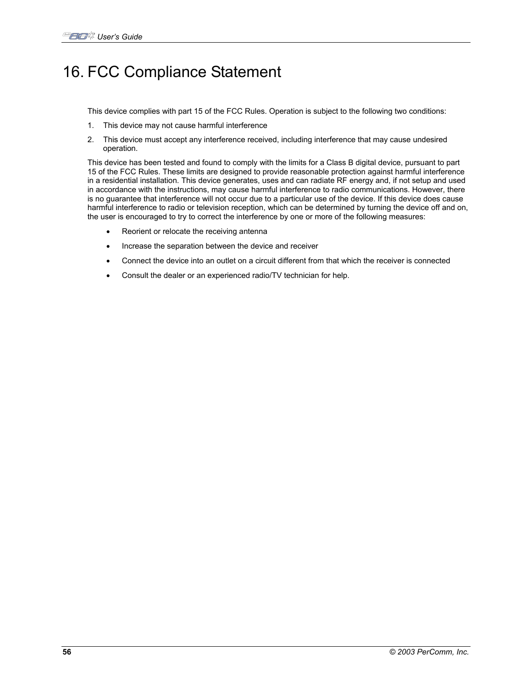# 16. FCC Compliance Statement

This device complies with part 15 of the FCC Rules. Operation is subject to the following two conditions:

- 1. This device may not cause harmful interference
- 2. This device must accept any interference received, including interference that may cause undesired operation.

This device has been tested and found to comply with the limits for a Class B digital device, pursuant to part 15 of the FCC Rules. These limits are designed to provide reasonable protection against harmful interference in a residential installation. This device generates, uses and can radiate RF energy and, if not setup and used in accordance with the instructions, may cause harmful interference to radio communications. However, there is no guarantee that interference will not occur due to a particular use of the device. If this device does cause harmful interference to radio or television reception, which can be determined by turning the device off and on, the user is encouraged to try to correct the interference by one or more of the following measures:

- Reorient or relocate the receiving antenna
- Increase the separation between the device and receiver
- Connect the device into an outlet on a circuit different from that which the receiver is connected
- Consult the dealer or an experienced radio/TV technician for help.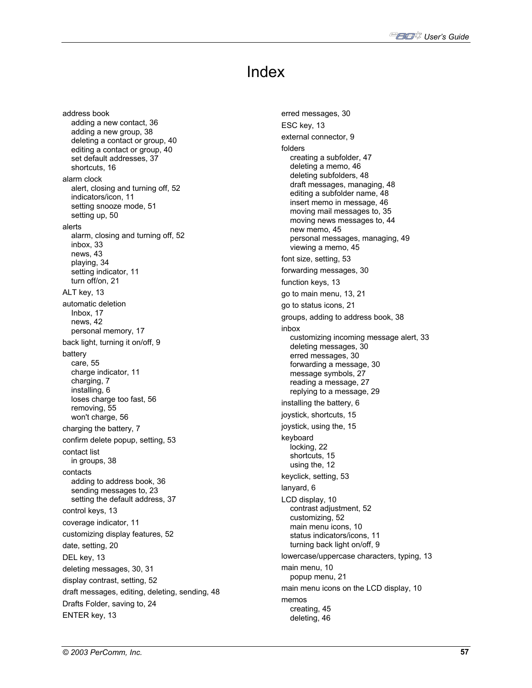# Index

address book adding a new contact, 36 adding a new group, 38 deleting a contact or group, 40 editing a contact or group, 40 set default addresses, 37 shortcuts, 16 alarm clock alert, closing and turning off, 52 indicators/icon, 11 setting snooze mode, 51 setting up, 50 alerts alarm, closing and turning off, 52 inbox, 33 news, 43 playing, 34 setting indicator, 11 turn off/on, 21 ALT key, 13 automatic deletion Inbox, 17 news, 42 personal memory, 17 back light, turning it on/off, 9 battery care, 55 charge indicator, 11 charging, 7 installing, 6 loses charge too fast, 56 removing, 55 won't charge, 56 charging the battery, 7 confirm delete popup, setting, 53 contact list in groups, 38 contacts adding to address book, 36 sending messages to, 23 setting the default address, 37 control keys, 13 coverage indicator, 11 customizing display features, 52 date, setting, 20 DEL key, 13 deleting messages, 30, 31 display contrast, setting, 52 draft messages, editing, deleting, sending, 48 Drafts Folder, saving to, 24 ENTER key, 13

erred messages, 30 ESC key, 13 external connector, 9 folders creating a subfolder, 47 deleting a memo, 46 deleting subfolders, 48 draft messages, managing, 48 editing a subfolder name, 48 insert memo in message, 46 moving mail messages to, 35 moving news messages to, 44 new memo, 45 personal messages, managing, 49 viewing a memo, 45 font size, setting, 53 forwarding messages, 30 function keys, 13 go to main menu, 13, 21 go to status icons, 21 groups, adding to address book, 38 inbox customizing incoming message alert, 33 deleting messages, 30 erred messages, 30 forwarding a message, 30 message symbols, 27 reading a message, 27 replying to a message, 29 installing the battery, 6 joystick, shortcuts, 15 joystick, using the, 15 keyboard locking, 22 shortcuts, 15 using the, 12 keyclick, setting, 53 lanyard, 6 LCD display, 10 contrast adjustment, 52 customizing, 52 main menu icons, 10 status indicators/icons, 11 turning back light on/off, 9 lowercase/uppercase characters, typing, 13 main menu, 10 popup menu, 21 main menu icons on the LCD display, 10 memos creating, 45 deleting, 46